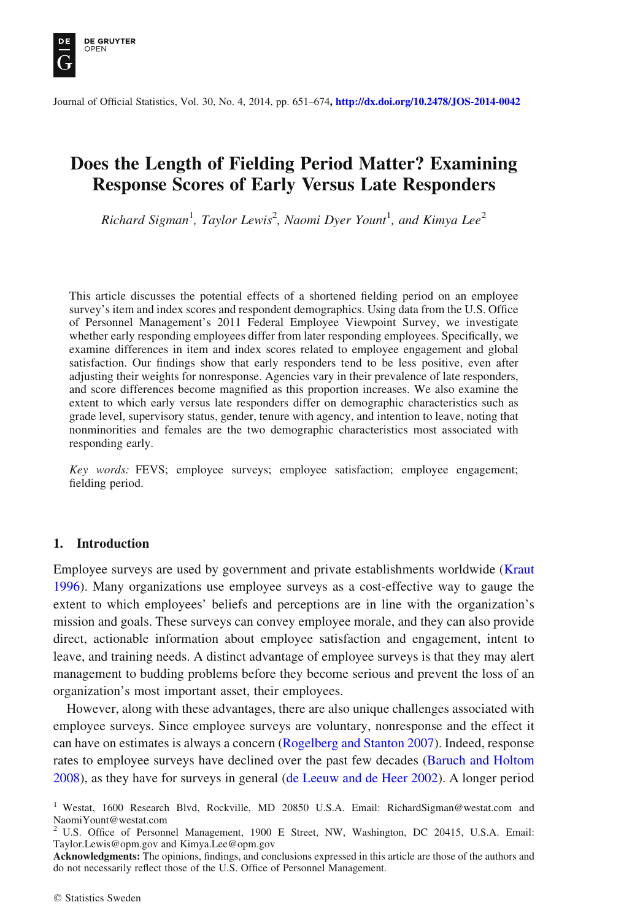

Journal of Official Statistics, Vol. 30, No. 4, 2014, pp. 651–674, <http://dx.doi.org/10.2478/JOS-2014-0042>

# Does the Length of Fielding Period Matter? Examining Response Scores of Early Versus Late Responders

Richard Sigman<sup>1</sup>, Taylor Lewis<sup>2</sup>, Naomi Dyer Yount<sup>1</sup>, and Kimya Lee<sup>2</sup>

This article discusses the potential effects of a shortened fielding period on an employee survey's item and index scores and respondent demographics. Using data from the U.S. Office of Personnel Management's 2011 Federal Employee Viewpoint Survey, we investigate whether early responding employees differ from later responding employees. Specifically, we examine differences in item and index scores related to employee engagement and global satisfaction. Our findings show that early responders tend to be less positive, even after adjusting their weights for nonresponse. Agencies vary in their prevalence of late responders, and score differences become magnified as this proportion increases. We also examine the extent to which early versus late responders differ on demographic characteristics such as grade level, supervisory status, gender, tenure with agency, and intention to leave, noting that nonminorities and females are the two demographic characteristics most associated with responding early.

Key words: FEVS; employee surveys; employee satisfaction; employee engagement; fielding period.

# 1. Introduction

Employee surveys are used by government and private establishments worldwide (Kraut 1996). Many organizations use employee surveys as a cost-effective way to gauge the extent to which employees' beliefs and perceptions are in line with the organization's mission and goals. These surveys can convey employee morale, and they can also provide direct, actionable information about employee satisfaction and engagement, intent to leave, and training needs. A distinct advantage of employee surveys is that they may alert management to budding problems before they become serious and prevent the loss of an organization's most important asset, their employees.

However, along with these advantages, there are also unique challenges associated with employee surveys. Since employee surveys are voluntary, nonresponse and the effect it can have on estimates is always a concern (Rogelberg and Stanton 2007). Indeed, response rates to employee surveys have declined over the past few decades (Baruch and Holtom 2008), as they have for surveys in general (de Leeuw and de Heer 2002). A longer period

<sup>&</sup>lt;sup>1</sup> Westat, 1600 Research Blvd, Rockville, MD 20850 U.S.A. Email: RichardSigman@westat.com and NaomiYount@westat.com

<sup>2</sup> U.S. Office of Personnel Management, 1900 E Street, NW, Washington, DC 20415, U.S.A. Email: Taylor.Lewis@opm.gov and Kimya.Lee@opm.gov

Acknowledgments: The opinions, findings, and conclusions expressed in this article are those of the authors and do not necessarily reflect those of the U.S. Office of Personnel Management.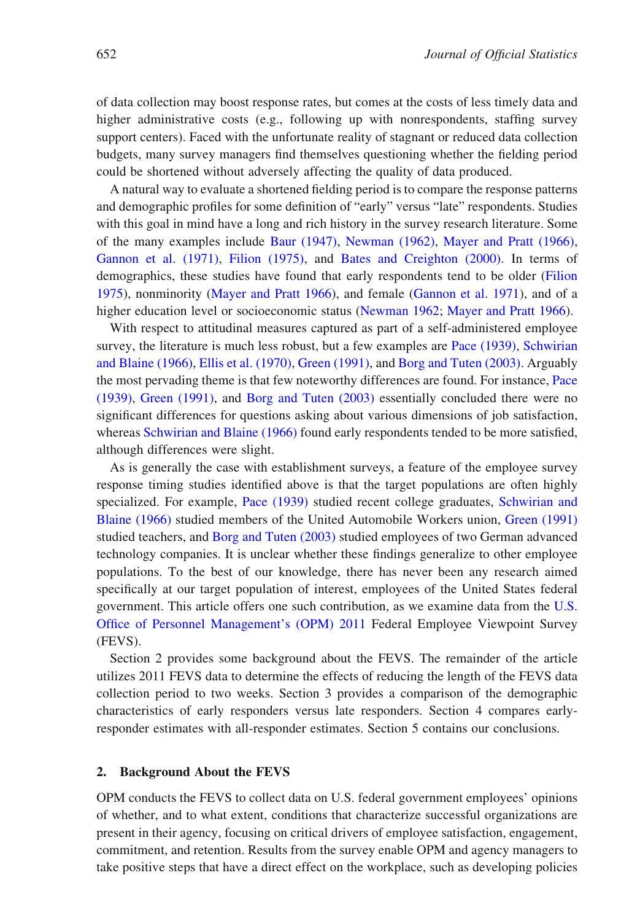of data collection may boost response rates, but comes at the costs of less timely data and higher administrative costs (e.g., following up with nonrespondents, staffing survey support centers). Faced with the unfortunate reality of stagnant or reduced data collection budgets, many survey managers find themselves questioning whether the fielding period could be shortened without adversely affecting the quality of data produced.

A natural way to evaluate a shortened fielding period is to compare the response patterns and demographic profiles for some definition of "early" versus "late" respondents. Studies with this goal in mind have a long and rich history in the survey research literature. Some of the many examples include Baur (1947), Newman (1962), Mayer and Pratt (1966), Gannon et al. (1971), Filion (1975), and Bates and Creighton (2000). In terms of demographics, these studies have found that early respondents tend to be older (Filion 1975), nonminority (Mayer and Pratt 1966), and female (Gannon et al. 1971), and of a higher education level or socioeconomic status (Newman 1962; Mayer and Pratt 1966).

With respect to attitudinal measures captured as part of a self-administered employee survey, the literature is much less robust, but a few examples are Pace (1939), Schwirian and Blaine (1966), Ellis et al. (1970), Green (1991), and Borg and Tuten (2003). Arguably the most pervading theme is that few noteworthy differences are found. For instance, Pace (1939), Green (1991), and Borg and Tuten (2003) essentially concluded there were no significant differences for questions asking about various dimensions of job satisfaction, whereas Schwirian and Blaine (1966) found early respondents tended to be more satisfied, although differences were slight.

As is generally the case with establishment surveys, a feature of the employee survey response timing studies identified above is that the target populations are often highly specialized. For example, Pace (1939) studied recent college graduates, Schwirian and Blaine (1966) studied members of the United Automobile Workers union, Green (1991) studied teachers, and Borg and Tuten (2003) studied employees of two German advanced technology companies. It is unclear whether these findings generalize to other employee populations. To the best of our knowledge, there has never been any research aimed specifically at our target population of interest, employees of the United States federal government. This article offers one such contribution, as we examine data from the U.S. Office of Personnel Management's (OPM) 2011 Federal Employee Viewpoint Survey (FEVS).

Section 2 provides some background about the FEVS. The remainder of the article utilizes 2011 FEVS data to determine the effects of reducing the length of the FEVS data collection period to two weeks. Section 3 provides a comparison of the demographic characteristics of early responders versus late responders. Section 4 compares earlyresponder estimates with all-responder estimates. Section 5 contains our conclusions.

## 2. Background About the FEVS

OPM conducts the FEVS to collect data on U.S. federal government employees' opinions of whether, and to what extent, conditions that characterize successful organizations are present in their agency, focusing on critical drivers of employee satisfaction, engagement, commitment, and retention. Results from the survey enable OPM and agency managers to take positive steps that have a direct effect on the workplace, such as developing policies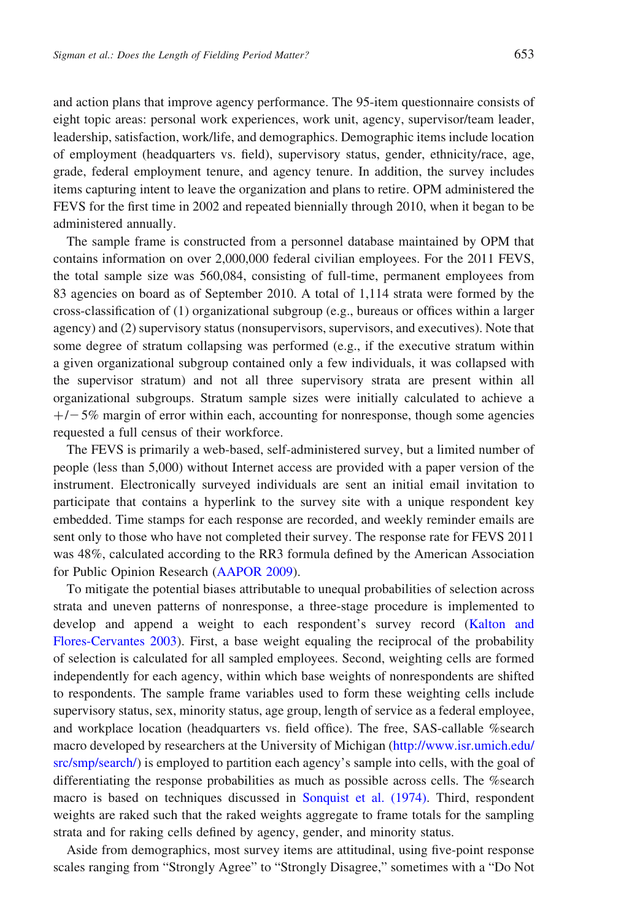and action plans that improve agency performance. The 95-item questionnaire consists of eight topic areas: personal work experiences, work unit, agency, supervisor/team leader, leadership, satisfaction, work/life, and demographics. Demographic items include location of employment (headquarters vs. field), supervisory status, gender, ethnicity/race, age, grade, federal employment tenure, and agency tenure. In addition, the survey includes items capturing intent to leave the organization and plans to retire. OPM administered the FEVS for the first time in 2002 and repeated biennially through 2010, when it began to be administered annually.

The sample frame is constructed from a personnel database maintained by OPM that contains information on over 2,000,000 federal civilian employees. For the 2011 FEVS, the total sample size was 560,084, consisting of full-time, permanent employees from 83 agencies on board as of September 2010. A total of 1,114 strata were formed by the cross-classification of (1) organizational subgroup (e.g., bureaus or offices within a larger agency) and (2) supervisory status (nonsupervisors, supervisors, and executives). Note that some degree of stratum collapsing was performed (e.g., if the executive stratum within a given organizational subgroup contained only a few individuals, it was collapsed with the supervisor stratum) and not all three supervisory strata are present within all organizational subgroups. Stratum sample sizes were initially calculated to achieve a  $+/-5\%$  margin of error within each, accounting for nonresponse, though some agencies requested a full census of their workforce.

The FEVS is primarily a web-based, self-administered survey, but a limited number of people (less than 5,000) without Internet access are provided with a paper version of the instrument. Electronically surveyed individuals are sent an initial email invitation to participate that contains a hyperlink to the survey site with a unique respondent key embedded. Time stamps for each response are recorded, and weekly reminder emails are sent only to those who have not completed their survey. The response rate for FEVS 2011 was 48%, calculated according to the RR3 formula defined by the American Association for Public Opinion Research (AAPOR 2009).

To mitigate the potential biases attributable to unequal probabilities of selection across strata and uneven patterns of nonresponse, a three-stage procedure is implemented to develop and append a weight to each respondent's survey record (Kalton and Flores-Cervantes 2003). First, a base weight equaling the reciprocal of the probability of selection is calculated for all sampled employees. Second, weighting cells are formed independently for each agency, within which base weights of nonrespondents are shifted to respondents. The sample frame variables used to form these weighting cells include supervisory status, sex, minority status, age group, length of service as a federal employee, and workplace location (headquarters vs. field office). The free, SAS-callable %search macro developed by researchers at the University of Michigan [\(http://www.isr.umich.edu/](http://www.isr.umich.edu/src/smp/search/) [src/smp/search/\)](http://www.isr.umich.edu/src/smp/search/) is employed to partition each agency's sample into cells, with the goal of differentiating the response probabilities as much as possible across cells. The %search macro is based on techniques discussed in Sonquist et al. (1974). Third, respondent weights are raked such that the raked weights aggregate to frame totals for the sampling strata and for raking cells defined by agency, gender, and minority status.

Aside from demographics, most survey items are attitudinal, using five-point response scales ranging from "Strongly Agree" to "Strongly Disagree," sometimes with a "Do Not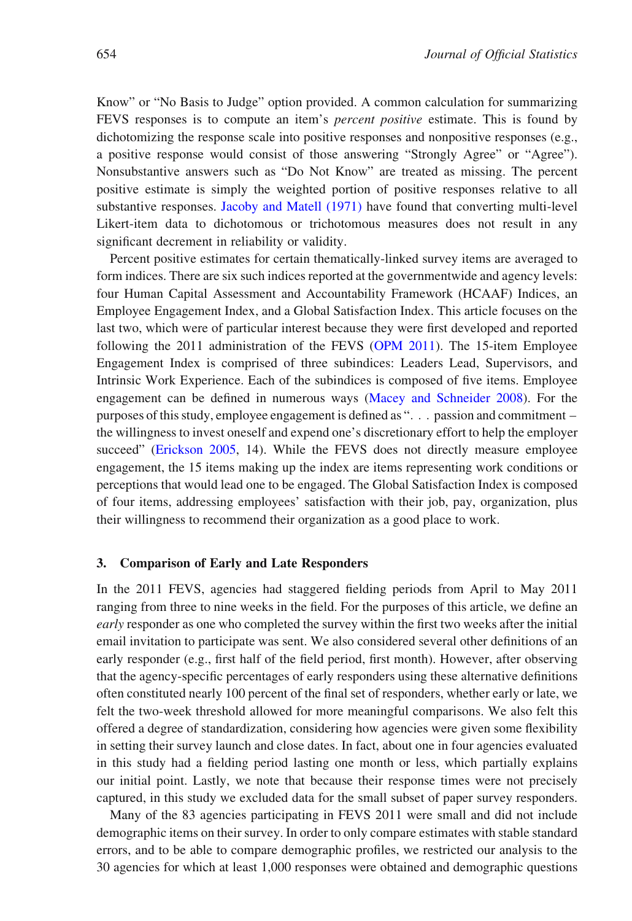Know" or "No Basis to Judge" option provided. A common calculation for summarizing FEVS responses is to compute an item's percent positive estimate. This is found by dichotomizing the response scale into positive responses and nonpositive responses (e.g., a positive response would consist of those answering "Strongly Agree" or "Agree"). Nonsubstantive answers such as "Do Not Know" are treated as missing. The percent positive estimate is simply the weighted portion of positive responses relative to all substantive responses. Jacoby and Matell (1971) have found that converting multi-level Likert-item data to dichotomous or trichotomous measures does not result in any significant decrement in reliability or validity.

Percent positive estimates for certain thematically-linked survey items are averaged to form indices. There are six such indices reported at the governmentwide and agency levels: four Human Capital Assessment and Accountability Framework (HCAAF) Indices, an Employee Engagement Index, and a Global Satisfaction Index. This article focuses on the last two, which were of particular interest because they were first developed and reported following the 2011 administration of the FEVS (OPM 2011). The 15-item Employee Engagement Index is comprised of three subindices: Leaders Lead, Supervisors, and Intrinsic Work Experience. Each of the subindices is composed of five items. Employee engagement can be defined in numerous ways (Macey and Schneider 2008). For the purposes of this study, employee engagement is defined as " $\ldots$  passion and commitment – the willingness to invest oneself and expend one's discretionary effort to help the employer succeed" (Erickson 2005, 14). While the FEVS does not directly measure employee engagement, the 15 items making up the index are items representing work conditions or perceptions that would lead one to be engaged. The Global Satisfaction Index is composed of four items, addressing employees' satisfaction with their job, pay, organization, plus their willingness to recommend their organization as a good place to work.

#### 3. Comparison of Early and Late Responders

In the 2011 FEVS, agencies had staggered fielding periods from April to May 2011 ranging from three to nine weeks in the field. For the purposes of this article, we define an early responder as one who completed the survey within the first two weeks after the initial email invitation to participate was sent. We also considered several other definitions of an early responder (e.g., first half of the field period, first month). However, after observing that the agency-specific percentages of early responders using these alternative definitions often constituted nearly 100 percent of the final set of responders, whether early or late, we felt the two-week threshold allowed for more meaningful comparisons. We also felt this offered a degree of standardization, considering how agencies were given some flexibility in setting their survey launch and close dates. In fact, about one in four agencies evaluated in this study had a fielding period lasting one month or less, which partially explains our initial point. Lastly, we note that because their response times were not precisely captured, in this study we excluded data for the small subset of paper survey responders.

Many of the 83 agencies participating in FEVS 2011 were small and did not include demographic items on their survey. In order to only compare estimates with stable standard errors, and to be able to compare demographic profiles, we restricted our analysis to the 30 agencies for which at least 1,000 responses were obtained and demographic questions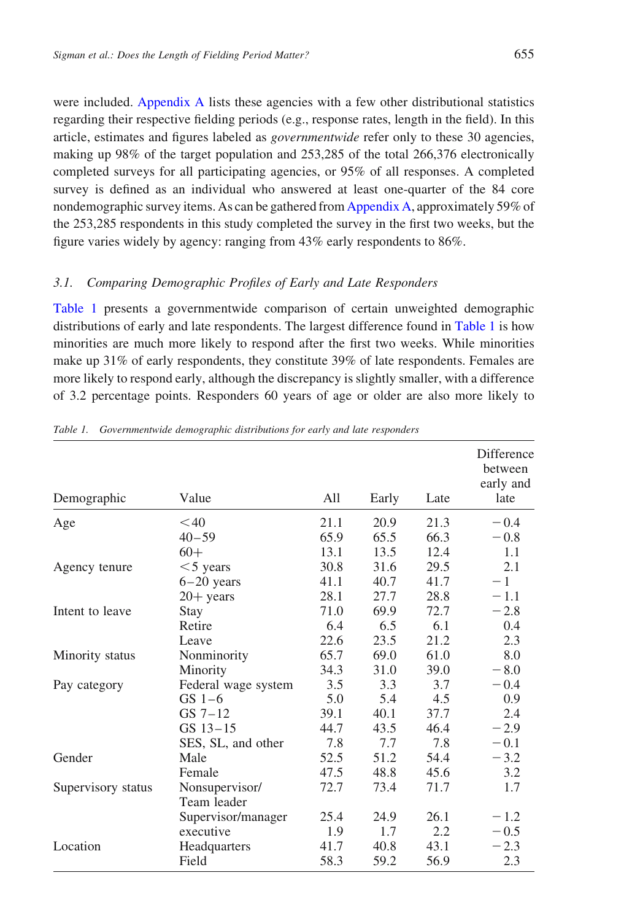were included. Appendix A lists these agencies with a few other distributional statistics regarding their respective fielding periods (e.g., response rates, length in the field). In this article, estimates and figures labeled as governmentwide refer only to these 30 agencies, making up 98% of the target population and 253,285 of the total 266,376 electronically completed surveys for all participating agencies, or 95% of all responses. A completed survey is defined as an individual who answered at least one-quarter of the 84 core nondemographic survey items. As can be gathered from Appendix A, approximately 59% of the 253,285 respondents in this study completed the survey in the first two weeks, but the figure varies widely by agency: ranging from 43% early respondents to 86%.

## 3.1. Comparing Demographic Profiles of Early and Late Responders

Table 1 presents a governmentwide comparison of certain unweighted demographic distributions of early and late respondents. The largest difference found in Table 1 is how minorities are much more likely to respond after the first two weeks. While minorities make up 31% of early respondents, they constitute 39% of late respondents. Females are more likely to respond early, although the discrepancy is slightly smaller, with a difference of 3.2 percentage points. Responders 60 years of age or older are also more likely to

|                    |                     |      |       |      | Difference<br>between<br>early and |
|--------------------|---------------------|------|-------|------|------------------------------------|
| Demographic        | Value               | All  | Early | Late | late                               |
| Age                | $<$ 40              | 21.1 | 20.9  | 21.3 | $-0.4$                             |
|                    | $40 - 59$           | 65.9 | 65.5  | 66.3 | $-0.8$                             |
|                    | $60+$               | 13.1 | 13.5  | 12.4 | 1.1                                |
| Agency tenure      | $<$ 5 years         | 30.8 | 31.6  | 29.5 | 2.1                                |
|                    | $6-20$ years        | 41.1 | 40.7  | 41.7 | $-1$                               |
|                    | $20+$ years         | 28.1 | 27.7  | 28.8 | $-1.1$                             |
| Intent to leave    | Stay                | 71.0 | 69.9  | 72.7 | $-2.8$                             |
|                    | Retire              | 6.4  | 6.5   | 6.1  | 0.4                                |
|                    | Leave               | 22.6 | 23.5  | 21.2 | 2.3                                |
| Minority status    | Nonminority         | 65.7 | 69.0  | 61.0 | 8.0                                |
|                    | Minority            | 34.3 | 31.0  | 39.0 | $-8.0$                             |
| Pay category       | Federal wage system | 3.5  | 3.3   | 3.7  | $-0.4$                             |
|                    | $GS$ 1-6            | 5.0  | 5.4   | 4.5  | 0.9                                |
|                    | $GS 7-12$           | 39.1 | 40.1  | 37.7 | 2.4                                |
|                    | $GS$ 13-15          | 44.7 | 43.5  | 46.4 | $-2.9$                             |
|                    | SES, SL, and other  | 7.8  | 7.7   | 7.8  | $-0.1$                             |
| Gender             | Male                | 52.5 | 51.2  | 54.4 | $-3.2$                             |
|                    | Female              | 47.5 | 48.8  | 45.6 | 3.2                                |
| Supervisory status | Nonsupervisor/      | 72.7 | 73.4  | 71.7 | 1.7                                |
|                    | Team leader         |      |       |      |                                    |
|                    | Supervisor/manager  | 25.4 | 24.9  | 26.1 | $-1.2$                             |
|                    | executive           | 1.9  | 1.7   | 2.2  | $-0.5$                             |
| Location           | Headquarters        | 41.7 | 40.8  | 43.1 | $-2.3$                             |
|                    | Field               | 58.3 | 59.2  | 56.9 | 2.3                                |

Table 1. Governmentwide demographic distributions for early and late responders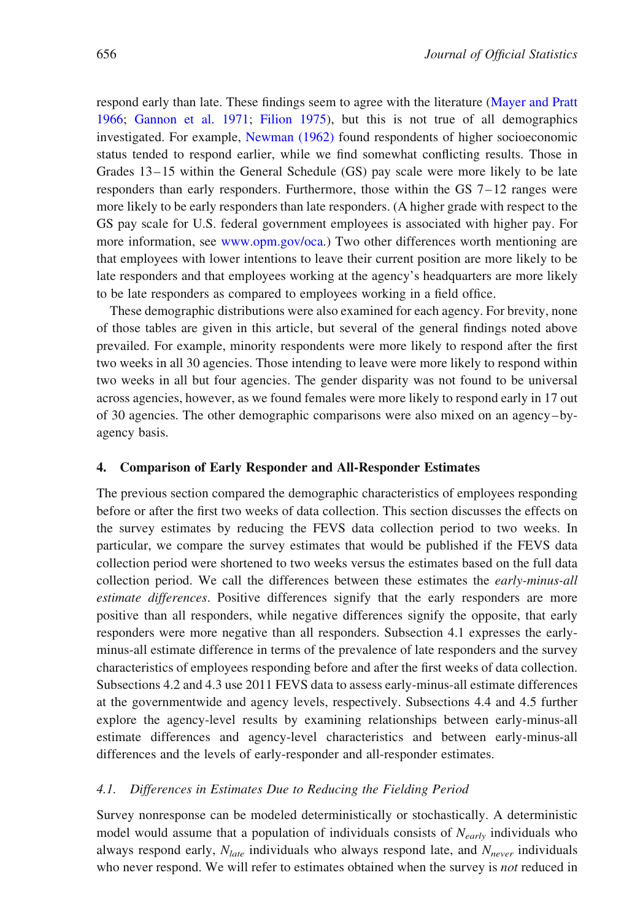respond early than late. These findings seem to agree with the literature (Mayer and Pratt 1966; Gannon et al. 1971; Filion 1975), but this is not true of all demographics investigated. For example, Newman (1962) found respondents of higher socioeconomic status tended to respond earlier, while we find somewhat conflicting results. Those in Grades 13–15 within the General Schedule (GS) pay scale were more likely to be late responders than early responders. Furthermore, those within the GS  $7-12$  ranges were more likely to be early responders than late responders. (A higher grade with respect to the GS pay scale for U.S. federal government employees is associated with higher pay. For more information, see [www.opm.gov/oca.](http://www.opm.gov/oca)) Two other differences worth mentioning are that employees with lower intentions to leave their current position are more likely to be late responders and that employees working at the agency's headquarters are more likely to be late responders as compared to employees working in a field office.

These demographic distributions were also examined for each agency. For brevity, none of those tables are given in this article, but several of the general findings noted above prevailed. For example, minority respondents were more likely to respond after the first two weeks in all 30 agencies. Those intending to leave were more likely to respond within two weeks in all but four agencies. The gender disparity was not found to be universal across agencies, however, as we found females were more likely to respond early in 17 out of 30 agencies. The other demographic comparisons were also mixed on an agency–byagency basis.

## 4. Comparison of Early Responder and All-Responder Estimates

The previous section compared the demographic characteristics of employees responding before or after the first two weeks of data collection. This section discusses the effects on the survey estimates by reducing the FEVS data collection period to two weeks. In particular, we compare the survey estimates that would be published if the FEVS data collection period were shortened to two weeks versus the estimates based on the full data collection period. We call the differences between these estimates the early-minus-all estimate differences. Positive differences signify that the early responders are more positive than all responders, while negative differences signify the opposite, that early responders were more negative than all responders. Subsection 4.1 expresses the earlyminus-all estimate difference in terms of the prevalence of late responders and the survey characteristics of employees responding before and after the first weeks of data collection. Subsections 4.2 and 4.3 use 2011 FEVS data to assess early-minus-all estimate differences at the governmentwide and agency levels, respectively. Subsections 4.4 and 4.5 further explore the agency-level results by examining relationships between early-minus-all estimate differences and agency-level characteristics and between early-minus-all differences and the levels of early-responder and all-responder estimates.

## 4.1. Differences in Estimates Due to Reducing the Fielding Period

Survey nonresponse can be modeled deterministically or stochastically. A deterministic model would assume that a population of individuals consists of  $N_{early}$  individuals who always respond early,  $N_{late}$  individuals who always respond late, and  $N_{never}$  individuals who never respond. We will refer to estimates obtained when the survey is not reduced in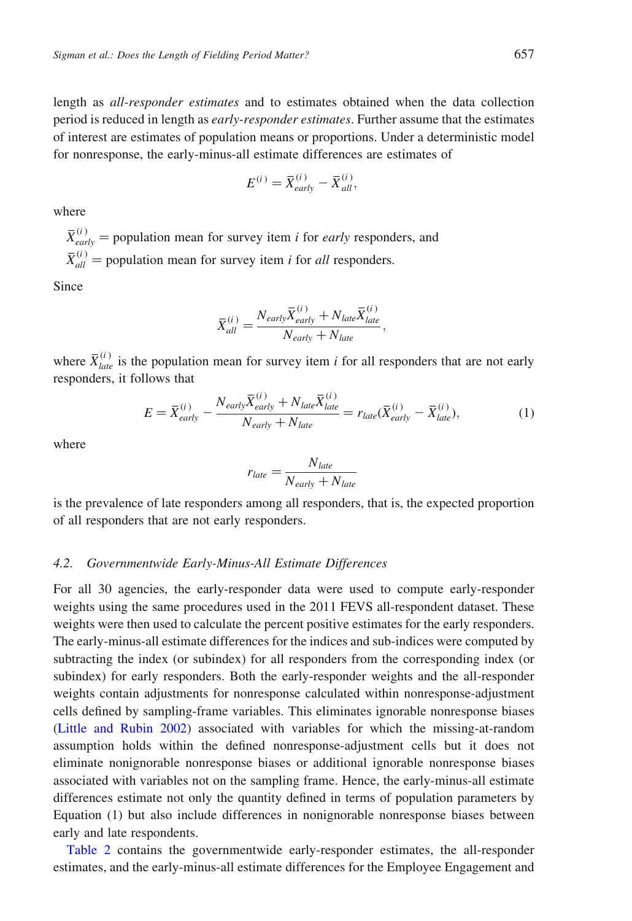length as all-responder estimates and to estimates obtained when the data collection period is reduced in length as early-responder estimates. Further assume that the estimates of interest are estimates of population means or proportions. Under a deterministic model for nonresponse, the early-minus-all estimate differences are estimates of

$$
E^{(i)} = \overline{X}_{early}^{(i)} - \overline{X}_{all}^{(i)},
$$

where

 $\bar{X}_{early}^{(i)}$  = population mean for survey item *i* for *early* responders, and  $\bar{X}_{all}^{(i)}$  = population mean for survey item *i* for *all* responders.

Since

$$
\bar{X}_{all}^{(i)} = \frac{N_{early} \bar{X}_{early}^{(i)} + N_{late} \bar{X}_{late}^{(i)}}{N_{early} + N_{late}},
$$

where  $\bar{X}_{late}^{(i)}$  is the population mean for survey item *i* for all responders that are not early responders, it follows that

$$
E = \overline{X}_{early}^{(i)} - \frac{N_{early}\overline{X}_{early}^{(i)} + N_{late}\overline{X}_{late}^{(i)}}{N_{early} + N_{late}} = r_{late}(\overline{X}_{early}^{(i)} - \overline{X}_{late}^{(i)}),
$$
(1)

where

$$
r_{late} = \frac{N_{late}}{N_{early} + N_{late}}
$$

is the prevalence of late responders among all responders, that is, the expected proportion of all responders that are not early responders.

#### 4.2. Governmentwide Early-Minus-All Estimate Differences

For all 30 agencies, the early-responder data were used to compute early-responder weights using the same procedures used in the 2011 FEVS all-respondent dataset. These weights were then used to calculate the percent positive estimates for the early responders. The early-minus-all estimate differences for the indices and sub-indices were computed by subtracting the index (or subindex) for all responders from the corresponding index (or subindex) for early responders. Both the early-responder weights and the all-responder weights contain adjustments for nonresponse calculated within nonresponse-adjustment cells defined by sampling-frame variables. This eliminates ignorable nonresponse biases (Little and Rubin 2002) associated with variables for which the missing-at-random assumption holds within the defined nonresponse-adjustment cells but it does not eliminate nonignorable nonresponse biases or additional ignorable nonresponse biases associated with variables not on the sampling frame. Hence, the early-minus-all estimate differences estimate not only the quantity defined in terms of population parameters by Equation (1) but also include differences in nonignorable nonresponse biases between early and late respondents.

Table 2 contains the governmentwide early-responder estimates, the all-responder estimates, and the early-minus-all estimate differences for the Employee Engagement and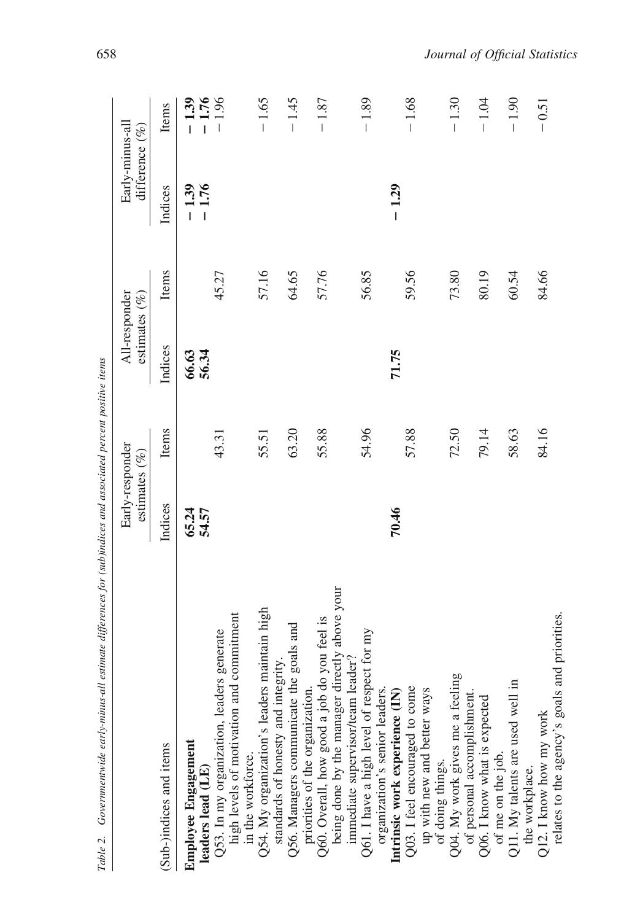| Table 2. Governmentwide early-minus-all estimate differences for (sub)indices and associated percent positive items                  | Early-responder<br>estimates $(\%)$ |       | All-responder<br>estimates $(\%)$ |       | Early-minus-all<br>difference $(\%)$ |                    |
|--------------------------------------------------------------------------------------------------------------------------------------|-------------------------------------|-------|-----------------------------------|-------|--------------------------------------|--------------------|
| (Sub-)indices and items                                                                                                              | Indices                             | Items | Indices                           | Items | Indices                              | Items              |
| <b>Employee Engagement</b><br>leaders lead (LE)                                                                                      | 54.57<br>65.24                      |       | 66.63<br>56.34                    |       | $-1.76$<br>$-1.39$                   | $-1.76$<br>$-1.39$ |
| high levels of motivation and commitment<br>Q53. In my organization, leaders generate                                                |                                     | 43.31 |                                   | 45.27 |                                      | $-1.96$            |
| Q54. My organization's leaders maintain high<br>in the workforce.                                                                    |                                     | 55.51 |                                   | 57.16 |                                      | $-1.65$            |
| Q56. Managers communicate the goals and<br>standards of honesty and integrity.                                                       |                                     | 63.20 |                                   | 64.65 |                                      | $-1.45$            |
| directly above your<br>do you feel is<br>priorities of the organization<br>Q60. Overall, how good a job<br>being done by the manager |                                     | 55.88 |                                   | 57.76 |                                      | $-1.87$            |
| Q61. I have a high level of respect for my<br>leader?<br>organization's senior leaders.<br>immediate supervisor/team                 |                                     | 54.96 |                                   | 56.85 |                                      | $-1.89$            |
| Q03. I feel encouraged to come up with new and better ways<br>Intrinsic work experience (IN                                          | 70.46                               | 57.88 | 71.75                             | 59.56 | $-1.29$                              | $-1.68$            |
| Q04. My work gives me a feeling<br>of doing things.                                                                                  |                                     | 72.50 |                                   | 73.80 |                                      | $-1.30$            |
| of personal accomplishment.<br>Q06. I know what is expected                                                                          |                                     | 79.14 |                                   | 80.19 |                                      | $-1.04$            |
| $\Xi$<br>Q11. My talents are used well<br>of me on the job.                                                                          |                                     | 58.63 |                                   | 60.54 |                                      | $-1.90$            |
| and priorities.<br>relates to the agency's goals<br>Q12. I know how my work<br>the workplace.                                        |                                     | 84.16 |                                   | 84.66 |                                      | $-0.51$            |

Table 2. Governmentwide early-minus-all estimate differences for (sub)indices and associated percent positive items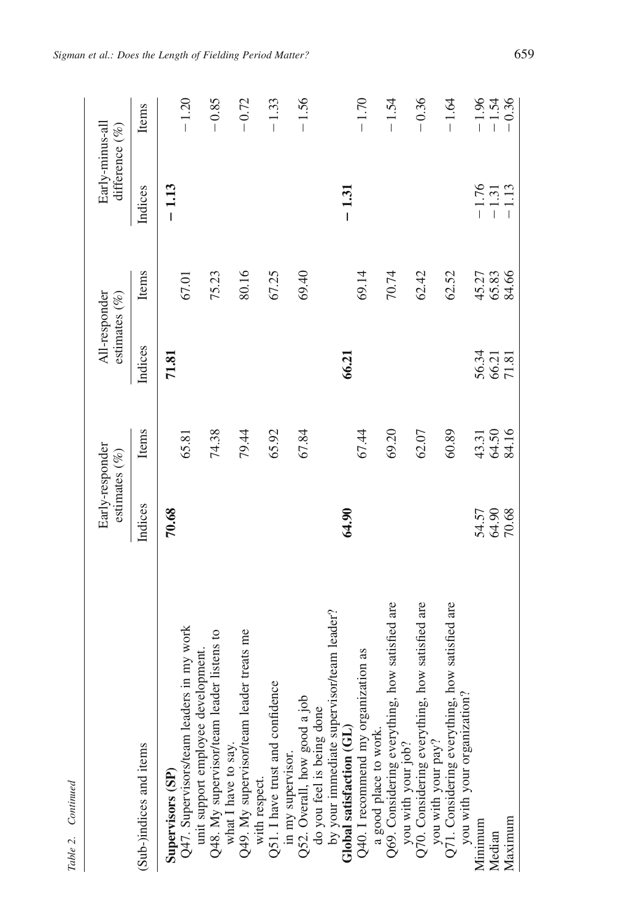|                                                                            | Early-responder<br>estimates $(\%)$ |                | All-responder<br>estimates $(\%)$ |                | Early-minus-all<br>difference (%) |         |
|----------------------------------------------------------------------------|-------------------------------------|----------------|-----------------------------------|----------------|-----------------------------------|---------|
| (Sub-)indices and items                                                    | Indices                             | Items          | Indices                           | Items          | Indices                           | Items   |
| Supervisors (SP)                                                           | 70.68                               |                | 71.81                             |                | $-1.13$                           |         |
| Q47. Supervisors/team leaders in my work                                   |                                     | 65.81          |                                   | 67.01          |                                   | $-1.20$ |
| unit support employee development.                                         |                                     |                |                                   |                |                                   |         |
| Q48. My supervisor/team leader listens to                                  |                                     | 74.38          |                                   | 75.23          |                                   | $-0.85$ |
| Q49. My supervisor/team leader treats me<br>what I have to say.            |                                     | 79.44          |                                   | 80.16          |                                   | $-0.72$ |
| with respect.                                                              |                                     |                |                                   |                |                                   |         |
| Q51. I have trust and confidence                                           |                                     | 65.92          |                                   | 67.25          |                                   | $-1.33$ |
|                                                                            |                                     |                |                                   |                |                                   |         |
| in my supervisor.<br>Q52. Overall, how good a job                          |                                     | 67.84          |                                   | 69.40          |                                   | $-1.56$ |
| do you feel is being done                                                  |                                     |                |                                   |                |                                   |         |
| by your immediate supervisor/team leader?                                  |                                     |                |                                   |                |                                   |         |
| Global satisfaction (GL)                                                   | 64.90                               |                | 66.21                             |                | $-1.31$                           |         |
| Q40. I recommend my organization as                                        |                                     | 67.44          |                                   | 69.14          |                                   | $-1.70$ |
|                                                                            |                                     |                |                                   |                |                                   |         |
| how satisfied are<br>a good place to work.<br>Q69. Considering everything, |                                     | 69.20          |                                   | 70.74          |                                   | $-1.54$ |
| you with your job?                                                         |                                     |                |                                   |                |                                   |         |
| how satisfied are<br>Q70. Considering everything,                          |                                     | 62.07          |                                   | 62.42          |                                   | $-0.36$ |
| you with your pay?                                                         |                                     |                |                                   |                |                                   |         |
| Q71. Considering everything, how satisfied are                             |                                     | 60.89          |                                   | 62.52          |                                   | $-1.64$ |
| you with your organization?                                                |                                     |                |                                   |                |                                   |         |
| Minimum                                                                    | 54.57                               | 43.31<br>64.50 | 56.34<br>66.21                    | 45.27<br>65.83 | $-1.76$                           | $-1.96$ |
| Median                                                                     | 64.90                               |                |                                   |                | $-1.31$                           | $-1.54$ |
| Maximum                                                                    | 70.68                               | 84.16          | 71.81                             | 84.66          | $-1.13$                           | $-0.36$ |
|                                                                            |                                     |                |                                   |                |                                   |         |

Sigman et al.: Does the Length of Fielding Period Matter? 659

Table 2. Continued

Table 2. Continued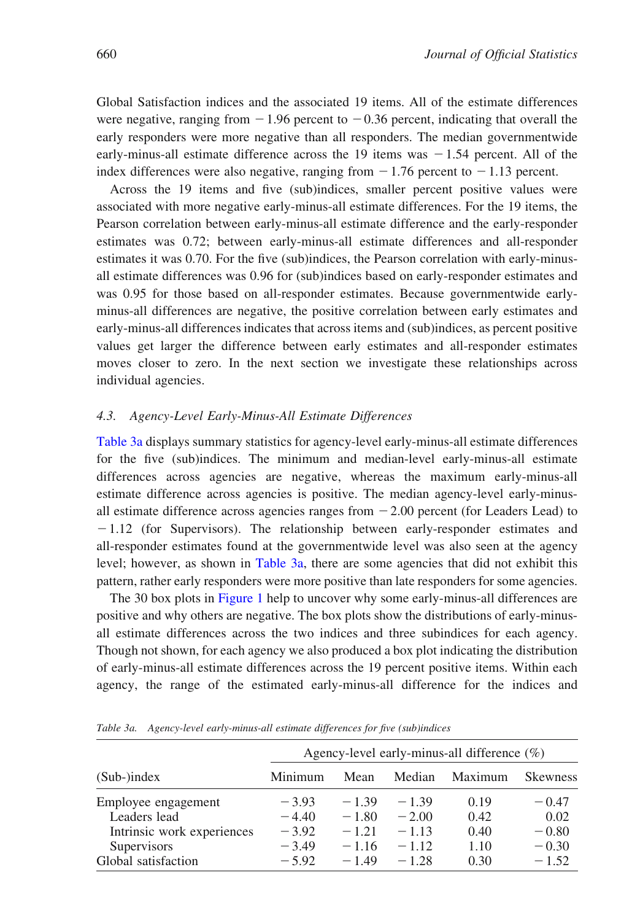Global Satisfaction indices and the associated 19 items. All of the estimate differences were negative, ranging from  $-1.96$  percent to  $-0.36$  percent, indicating that overall the early responders were more negative than all responders. The median governmentwide early-minus-all estimate difference across the 19 items was  $-1.54$  percent. All of the index differences were also negative, ranging from  $-1.76$  percent to  $-1.13$  percent.

Across the 19 items and five (sub)indices, smaller percent positive values were associated with more negative early-minus-all estimate differences. For the 19 items, the Pearson correlation between early-minus-all estimate difference and the early-responder estimates was 0.72; between early-minus-all estimate differences and all-responder estimates it was 0.70. For the five (sub)indices, the Pearson correlation with early-minusall estimate differences was 0.96 for (sub)indices based on early-responder estimates and was 0.95 for those based on all-responder estimates. Because governmentwide earlyminus-all differences are negative, the positive correlation between early estimates and early-minus-all differences indicates that across items and (sub)indices, as percent positive values get larger the difference between early estimates and all-responder estimates moves closer to zero. In the next section we investigate these relationships across individual agencies.

## 4.3. Agency-Level Early-Minus-All Estimate Differences

Table 3a displays summary statistics for agency-level early-minus-all estimate differences for the five (sub)indices. The minimum and median-level early-minus-all estimate differences across agencies are negative, whereas the maximum early-minus-all estimate difference across agencies is positive. The median agency-level early-minusall estimate difference across agencies ranges from  $-2.00$  percent (for Leaders Lead) to  $-1.12$  (for Supervisors). The relationship between early-responder estimates and all-responder estimates found at the governmentwide level was also seen at the agency level; however, as shown in Table 3a, there are some agencies that did not exhibit this pattern, rather early responders were more positive than late responders for some agencies.

The 30 box plots in Figure 1 help to uncover why some early-minus-all differences are positive and why others are negative. The box plots show the distributions of early-minusall estimate differences across the two indices and three subindices for each agency. Though not shown, for each agency we also produced a box plot indicating the distribution of early-minus-all estimate differences across the 19 percent positive items. Within each agency, the range of the estimated early-minus-all difference for the indices and

|                            |         |         |         | Agency-level early-minus-all difference $(\%)$ |                 |
|----------------------------|---------|---------|---------|------------------------------------------------|-----------------|
| $(Sub-)index$              | Minimum | Mean    | Median  | Maximum                                        | <b>Skewness</b> |
| Employee engagement        | $-3.93$ | $-1.39$ | $-1.39$ | 0.19                                           | $-0.47$         |
| Leaders lead               | $-4.40$ | $-1.80$ | $-2.00$ | 0.42                                           | 0.02            |
| Intrinsic work experiences | $-3.92$ | $-1.21$ | $-1.13$ | 0.40                                           | $-0.80$         |
| Supervisors                | $-3.49$ | $-1.16$ | $-1.12$ | 1.10                                           | $-0.30$         |
| Global satisfaction        | $-5.92$ | $-1.49$ | $-1.28$ | 0.30                                           | $-1.52$         |

Table 3a. Agency-level early-minus-all estimate differences for five (sub)indices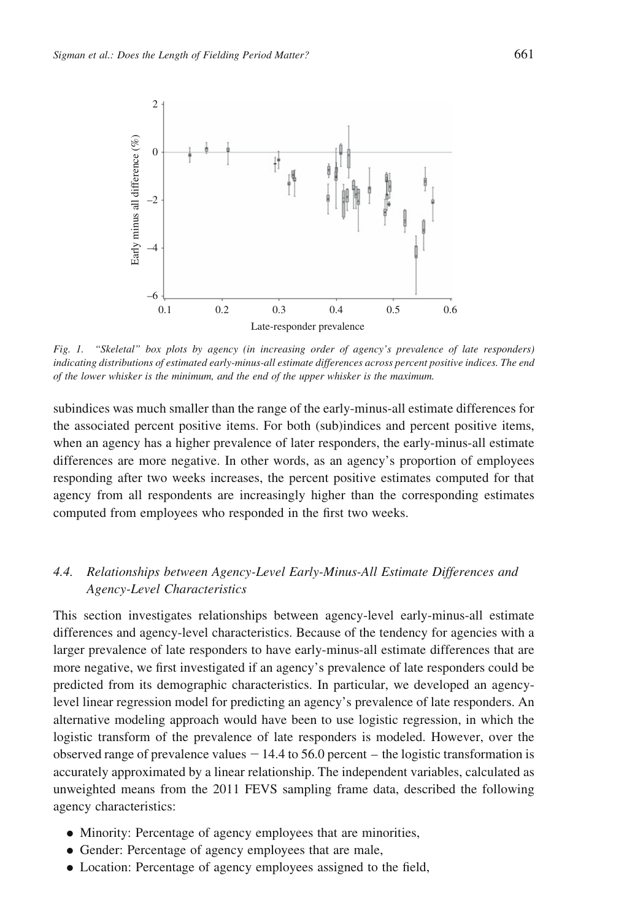

Fig. 1. "Skeletal" box plots by agency (in increasing order of agency's prevalence of late responders) indicating distributions of estimated early-minus-all estimate differences across percent positive indices. The end of the lower whisker is the minimum, and the end of the upper whisker is the maximum.

subindices was much smaller than the range of the early-minus-all estimate differences for the associated percent positive items. For both (sub)indices and percent positive items, when an agency has a higher prevalence of later responders, the early-minus-all estimate differences are more negative. In other words, as an agency's proportion of employees responding after two weeks increases, the percent positive estimates computed for that agency from all respondents are increasingly higher than the corresponding estimates computed from employees who responded in the first two weeks.

# 4.4. Relationships between Agency-Level Early-Minus-All Estimate Differences and Agency-Level Characteristics

This section investigates relationships between agency-level early-minus-all estimate differences and agency-level characteristics. Because of the tendency for agencies with a larger prevalence of late responders to have early-minus-all estimate differences that are more negative, we first investigated if an agency's prevalence of late responders could be predicted from its demographic characteristics. In particular, we developed an agencylevel linear regression model for predicting an agency's prevalence of late responders. An alternative modeling approach would have been to use logistic regression, in which the logistic transform of the prevalence of late responders is modeled. However, over the observed range of prevalence values  $-14.4$  to 56.0 percent – the logistic transformation is accurately approximated by a linear relationship. The independent variables, calculated as unweighted means from the 2011 FEVS sampling frame data, described the following agency characteristics:

- . Minority: Percentage of agency employees that are minorities,
- . Gender: Percentage of agency employees that are male,
- . Location: Percentage of agency employees assigned to the field,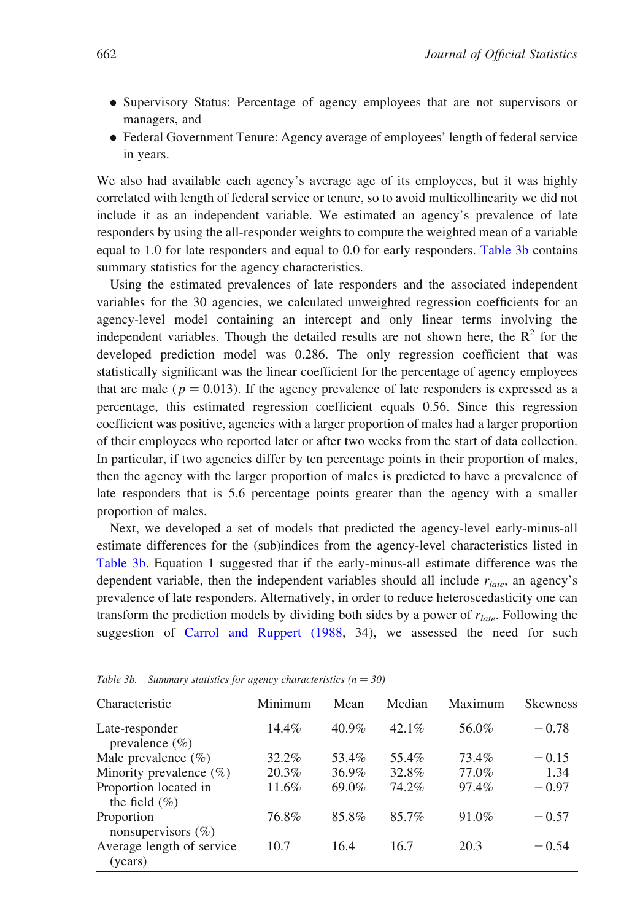- . Supervisory Status: Percentage of agency employees that are not supervisors or managers, and
- . Federal Government Tenure: Agency average of employees' length of federal service in years.

We also had available each agency's average age of its employees, but it was highly correlated with length of federal service or tenure, so to avoid multicollinearity we did not include it as an independent variable. We estimated an agency's prevalence of late responders by using the all-responder weights to compute the weighted mean of a variable equal to 1.0 for late responders and equal to 0.0 for early responders. Table 3b contains summary statistics for the agency characteristics.

Using the estimated prevalences of late responders and the associated independent variables for the 30 agencies, we calculated unweighted regression coefficients for an agency-level model containing an intercept and only linear terms involving the independent variables. Though the detailed results are not shown here, the  $R^2$  for the developed prediction model was 0.286. The only regression coefficient that was statistically significant was the linear coefficient for the percentage of agency employees that are male ( $p = 0.013$ ). If the agency prevalence of late responders is expressed as a percentage, this estimated regression coefficient equals 0.56. Since this regression coefficient was positive, agencies with a larger proportion of males had a larger proportion of their employees who reported later or after two weeks from the start of data collection. In particular, if two agencies differ by ten percentage points in their proportion of males, then the agency with the larger proportion of males is predicted to have a prevalence of late responders that is 5.6 percentage points greater than the agency with a smaller proportion of males.

Next, we developed a set of models that predicted the agency-level early-minus-all estimate differences for the (sub)indices from the agency-level characteristics listed in Table 3b. Equation 1 suggested that if the early-minus-all estimate difference was the dependent variable, then the independent variables should all include  $r_{late}$ , an agency's prevalence of late responders. Alternatively, in order to reduce heteroscedasticity one can transform the prediction models by dividing both sides by a power of  $r_{late}$ . Following the suggestion of Carrol and Ruppert (1988, 34), we assessed the need for such

| Characteristic                             | Minimum  | Mean     | Median   | Maximum | <b>Skewness</b> |
|--------------------------------------------|----------|----------|----------|---------|-----------------|
| Late-responder<br>prevalence $(\% )$       | $14.4\%$ | $40.9\%$ | $42.1\%$ | 56.0%   | $-0.78$         |
| Male prevalence $(\%)$                     | 32.2%    | 53.4%    | 55.4%    | 73.4%   | $-0.15$         |
| Minority prevalence (%)                    | 20.3%    | 36.9%    | 32.8%    | 77.0%   | 1.34            |
| Proportion located in<br>the field $(\% )$ | 11.6%    | 69.0%    | 74.2%    | 97.4%   | $-0.97$         |
| Proportion<br>nonsupervisors $(\%)$        | 76.8%    | 85.8%    | 85.7%    | 91.0%   | $-0.57$         |
| Average length of service<br>(years)       | 10.7     | 16.4     | 16.7     | 20.3    | $-0.54$         |

Table 3b. Summary statistics for agency characteristics ( $n = 30$ )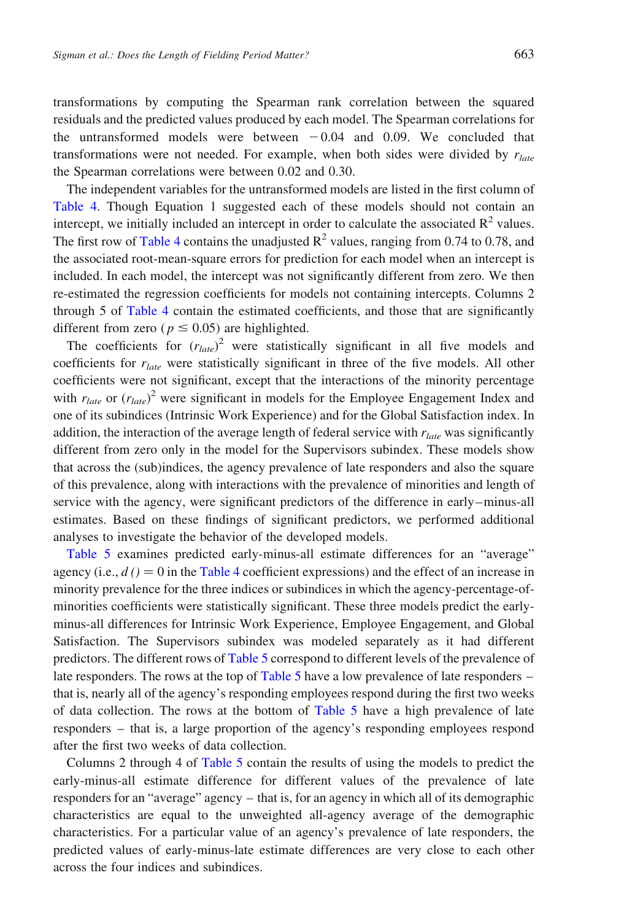transformations by computing the Spearman rank correlation between the squared residuals and the predicted values produced by each model. The Spearman correlations for the untransformed models were between  $-0.04$  and 0.09. We concluded that transformations were not needed. For example, when both sides were divided by  $r_{late}$ the Spearman correlations were between 0.02 and 0.30.

The independent variables for the untransformed models are listed in the first column of Table 4. Though Equation 1 suggested each of these models should not contain an intercept, we initially included an intercept in order to calculate the associated  $R^2$  values. The first row of Table 4 contains the unadjusted  $R^2$  values, ranging from 0.74 to 0.78, and the associated root-mean-square errors for prediction for each model when an intercept is included. In each model, the intercept was not significantly different from zero. We then re-estimated the regression coefficients for models not containing intercepts. Columns 2 through 5 of Table 4 contain the estimated coefficients, and those that are significantly different from zero ( $p \le 0.05$ ) are highlighted.

The coefficients for  $(r_{late})^2$  were statistically significant in all five models and coefficients for  $r_{late}$  were statistically significant in three of the five models. All other coefficients were not significant, except that the interactions of the minority percentage with  $r_{late}$  or  $(r_{late})^2$  were significant in models for the Employee Engagement Index and one of its subindices (Intrinsic Work Experience) and for the Global Satisfaction index. In addition, the interaction of the average length of federal service with  $r_{late}$  was significantly different from zero only in the model for the Supervisors subindex. These models show that across the (sub)indices, the agency prevalence of late responders and also the square of this prevalence, along with interactions with the prevalence of minorities and length of service with the agency, were significant predictors of the difference in early–minus-all estimates. Based on these findings of significant predictors, we performed additional analyses to investigate the behavior of the developed models.

Table 5 examines predicted early-minus-all estimate differences for an "average" agency (i.e.,  $d() = 0$  in the Table 4 coefficient expressions) and the effect of an increase in minority prevalence for the three indices or subindices in which the agency-percentage-ofminorities coefficients were statistically significant. These three models predict the earlyminus-all differences for Intrinsic Work Experience, Employee Engagement, and Global Satisfaction. The Supervisors subindex was modeled separately as it had different predictors. The different rows of Table 5 correspond to different levels of the prevalence of late responders. The rows at the top of Table 5 have a low prevalence of late responders – that is, nearly all of the agency's responding employees respond during the first two weeks of data collection. The rows at the bottom of Table 5 have a high prevalence of late responders – that is, a large proportion of the agency's responding employees respond after the first two weeks of data collection.

Columns 2 through 4 of Table 5 contain the results of using the models to predict the early-minus-all estimate difference for different values of the prevalence of late responders for an "average" agency – that is, for an agency in which all of its demographic characteristics are equal to the unweighted all-agency average of the demographic characteristics. For a particular value of an agency's prevalence of late responders, the predicted values of early-minus-late estimate differences are very close to each other across the four indices and subindices.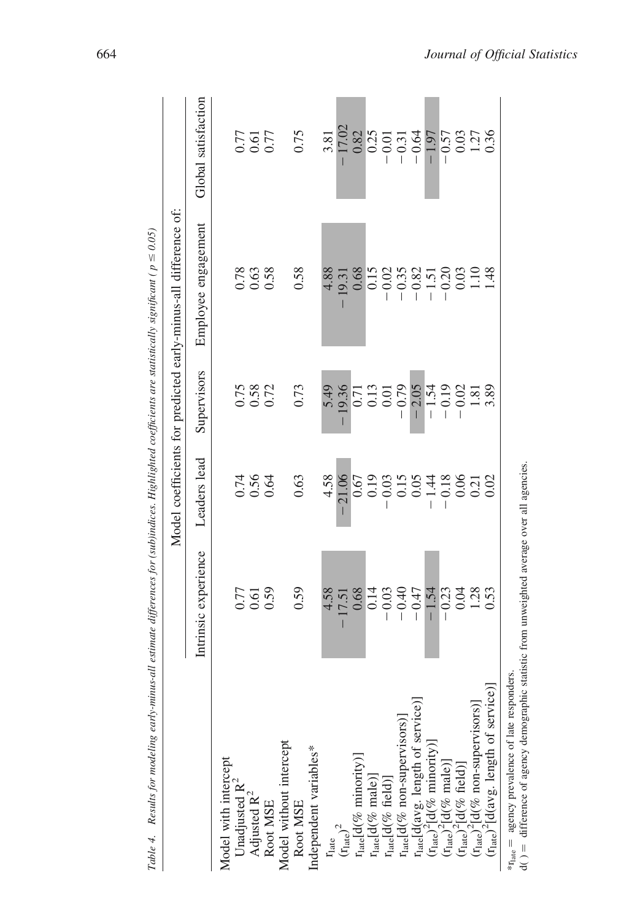| Table 4. Results for modeling early-minus-all estimate differences for (sub)indices. Highlighted coefficients are statistically significant (p ≤ 0.05)                                                                                                                                                                                                                                                                                                                                                               |                                                                |                                 |                      |                                                                 |                                          |
|----------------------------------------------------------------------------------------------------------------------------------------------------------------------------------------------------------------------------------------------------------------------------------------------------------------------------------------------------------------------------------------------------------------------------------------------------------------------------------------------------------------------|----------------------------------------------------------------|---------------------------------|----------------------|-----------------------------------------------------------------|------------------------------------------|
|                                                                                                                                                                                                                                                                                                                                                                                                                                                                                                                      |                                                                |                                 |                      | Model coefficients for predicted early-minus-all difference of: |                                          |
|                                                                                                                                                                                                                                                                                                                                                                                                                                                                                                                      | Intrinsic experience                                           | Leaders lead                    | Supervisors          | Employee engagement                                             | Global satisfaction                      |
| Model with intercept                                                                                                                                                                                                                                                                                                                                                                                                                                                                                                 |                                                                |                                 |                      |                                                                 |                                          |
| Unadjusted R <sup>2</sup>                                                                                                                                                                                                                                                                                                                                                                                                                                                                                            |                                                                |                                 |                      |                                                                 |                                          |
| Adjusted R <sup>2</sup>                                                                                                                                                                                                                                                                                                                                                                                                                                                                                              | $0.77$<br>0.61                                                 | 0.56<br>0.56<br>0.0             | 0.75<br>0.58<br>0.72 | 0.78<br>0.63<br>0.58                                            | 77<br>1900<br>1900                       |
| Root MSE                                                                                                                                                                                                                                                                                                                                                                                                                                                                                                             | 0.59                                                           |                                 |                      |                                                                 |                                          |
| Model without intercept                                                                                                                                                                                                                                                                                                                                                                                                                                                                                              |                                                                |                                 |                      |                                                                 |                                          |
| Root MSE                                                                                                                                                                                                                                                                                                                                                                                                                                                                                                             | 0.59                                                           | 0.63                            | 0.73                 | 0.58                                                            | 0.75                                     |
| Independent variables*                                                                                                                                                                                                                                                                                                                                                                                                                                                                                               |                                                                |                                 |                      |                                                                 |                                          |
|                                                                                                                                                                                                                                                                                                                                                                                                                                                                                                                      | 4.58                                                           | 4.58                            | 5.49                 | 4.88                                                            | 3.81                                     |
| $\frac{\Gamma_{\text{late}}}{\left(\Gamma_{\text{late}}\right)^2}$                                                                                                                                                                                                                                                                                                                                                                                                                                                   | 17.51                                                          | 21.06                           | 19.36                | 19.31                                                           | 17.02                                    |
|                                                                                                                                                                                                                                                                                                                                                                                                                                                                                                                      | 0.68                                                           | $\frac{0.67}{0.19}$             | $\frac{13}{0.300}$   | 0.68                                                            | 0.82                                     |
|                                                                                                                                                                                                                                                                                                                                                                                                                                                                                                                      |                                                                |                                 |                      |                                                                 |                                          |
|                                                                                                                                                                                                                                                                                                                                                                                                                                                                                                                      |                                                                |                                 |                      |                                                                 |                                          |
|                                                                                                                                                                                                                                                                                                                                                                                                                                                                                                                      | $\begin{array}{r} 0.14 \\ -0.03 \\ -0.40 \\ +0.47 \end{array}$ | $-0.03$<br>0.15<br>0.15<br>0.14 |                      | $\begin{array}{r} 0.15 \\ -0.02 \\ -0.35 \end{array}$           | $-0.31$<br>$-0.31$<br>$-0.31$<br>$-1.97$ |
|                                                                                                                                                                                                                                                                                                                                                                                                                                                                                                                      |                                                                |                                 | 2.05                 | $-0.82$<br>$-1.51$<br>$-0.20$                                   |                                          |
|                                                                                                                                                                                                                                                                                                                                                                                                                                                                                                                      | $-1.54$                                                        |                                 | $-1.54$<br>$-0.19$   |                                                                 |                                          |
|                                                                                                                                                                                                                                                                                                                                                                                                                                                                                                                      | $-0.23$                                                        | $-0.18$                         |                      |                                                                 |                                          |
|                                                                                                                                                                                                                                                                                                                                                                                                                                                                                                                      | 0.04                                                           | $\frac{0.06}{0.21}$             | $-0.02$              | 0.03                                                            | $\frac{57}{0.03}$<br>1.27<br>1.36        |
|                                                                                                                                                                                                                                                                                                                                                                                                                                                                                                                      | 1.28                                                           |                                 | 1.81                 | $\Xi$                                                           |                                          |
| $\begin{array}{l} \mathbf{r}_{\text{line}}[\mathbf{d}(\mathcal{C}_{\text{B}} \text{ minority})] \\ \mathbf{r}_{\text{line}}[\mathbf{d}(\mathcal{C}_{\text{B}} \text{ mainity})] \\ \mathbf{r}_{\text{line}}[\mathbf{d}(\mathcal{C}_{\text{B}} \text{ field})] \\ \mathbf{r}_{\text{line}}[\mathbf{d}(\mathcal{C}_{\text{B}} \text{ field})] \\ \mathbf{r}_{\text{line}}[\mathbf{d}(\mathcal{C}_{\text{B}} \text{ non-supervisors})] \\ \mathbf{r}_{\text{line}}[\mathbf{d}(\mathcal{C}_{\text{B}} \text{ non-superv$ | 0.53                                                           | 0.02                            | 3.89                 | $\ddot{ }$                                                      |                                          |
|                                                                                                                                                                                                                                                                                                                                                                                                                                                                                                                      |                                                                |                                 |                      |                                                                 |                                          |

| ţ                   |  |
|---------------------|--|
| ì                   |  |
|                     |  |
| j<br>j              |  |
| ō                   |  |
| ī<br>š              |  |
|                     |  |
|                     |  |
|                     |  |
|                     |  |
|                     |  |
|                     |  |
| Ş                   |  |
| ξ                   |  |
|                     |  |
|                     |  |
| ١                   |  |
|                     |  |
| ١                   |  |
|                     |  |
| ł                   |  |
|                     |  |
|                     |  |
| j                   |  |
| Ş                   |  |
|                     |  |
| í<br>ţ<br>ł         |  |
| 25.733              |  |
| Î<br>š              |  |
|                     |  |
|                     |  |
|                     |  |
| ł                   |  |
|                     |  |
|                     |  |
|                     |  |
|                     |  |
|                     |  |
|                     |  |
| ١                   |  |
| i                   |  |
|                     |  |
|                     |  |
|                     |  |
|                     |  |
| 11.00 S 1<br>i<br>ł |  |
| ļ<br>١              |  |
| $\frac{4}{3}$       |  |
| l<br>ׇ֚֬֡           |  |
| able                |  |
| ŗ                   |  |

\*rlate agency prevalence of late responders.

d( )

difference of agency demographic statistic from unweighted average over all agencies.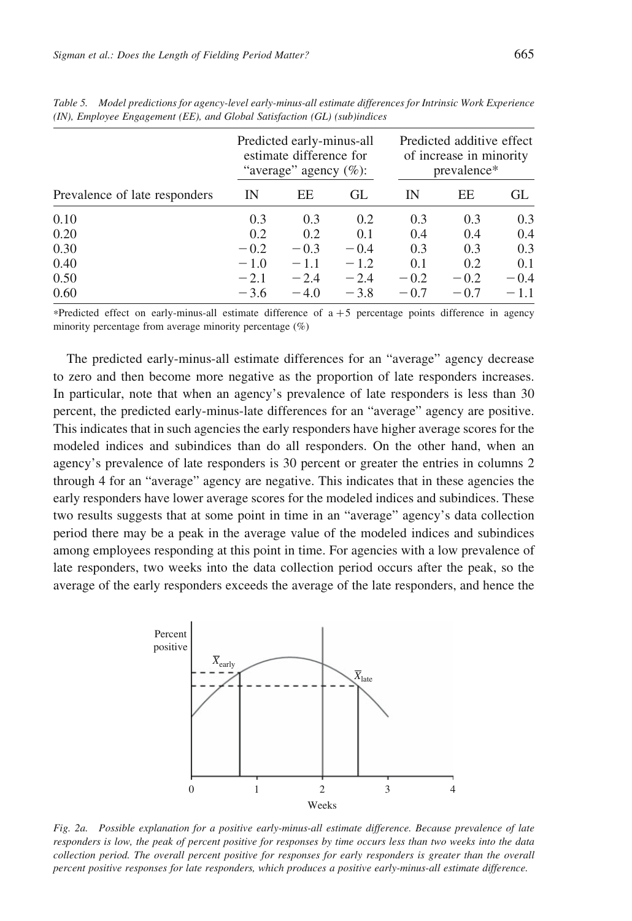|                               |        | Predicted early-minus-all<br>estimate difference for<br>"average" agency $(\%)$ : |        |        | Predicted additive effect<br>of increase in minority<br>prevalence* |        |
|-------------------------------|--------|-----------------------------------------------------------------------------------|--------|--------|---------------------------------------------------------------------|--------|
| Prevalence of late responders | IN     | EЕ                                                                                | GL     | IN     | EЕ                                                                  | GL     |
| 0.10                          | 0.3    | 0.3                                                                               | 0.2    | 0.3    | 0.3                                                                 | 0.3    |
| 0.20                          | 0.2    | 0.2                                                                               | 0.1    | 0.4    | 0.4                                                                 | 0.4    |
| 0.30                          | $-0.2$ | $-0.3$                                                                            | $-0.4$ | 0.3    | 0.3                                                                 | 0.3    |
| 0.40                          | $-1.0$ | $-1.1$                                                                            | $-1.2$ | 0.1    | 0.2                                                                 | 0.1    |
| 0.50                          | $-2.1$ | $-2.4$                                                                            | $-2.4$ | $-0.2$ | $-0.2$                                                              | $-0.4$ |
| 0.60                          | $-3.6$ | $-4.0$                                                                            | $-3.8$ | $-0.7$ | $-0.7$                                                              | $-1.1$ |

Table 5. Model predictions for agency-level early-minus-all estimate differences for Intrinsic Work Experience (IN), Employee Engagement (EE), and Global Satisfaction (GL) (sub)indices

\*Predicted effect on early-minus-all estimate difference of  $a + 5$  percentage points difference in agency minority percentage from average minority percentage (%)

The predicted early-minus-all estimate differences for an "average" agency decrease to zero and then become more negative as the proportion of late responders increases. In particular, note that when an agency's prevalence of late responders is less than 30 percent, the predicted early-minus-late differences for an "average" agency are positive. This indicates that in such agencies the early responders have higher average scores for the modeled indices and subindices than do all responders. On the other hand, when an agency's prevalence of late responders is 30 percent or greater the entries in columns 2 through 4 for an "average" agency are negative. This indicates that in these agencies the early responders have lower average scores for the modeled indices and subindices. These two results suggests that at some point in time in an "average" agency's data collection period there may be a peak in the average value of the modeled indices and subindices among employees responding at this point in time. For agencies with a low prevalence of late responders, two weeks into the data collection period occurs after the peak, so the average of the early responders exceeds the average of the late responders, and hence the



Fig. 2a. Possible explanation for a positive early-minus-all estimate difference. Because prevalence of late responders is low, the peak of percent positive for responses by time occurs less than two weeks into the data collection period. The overall percent positive for responses for early responders is greater than the overall percent positive responses for late responders, which produces a positive early-minus-all estimate difference.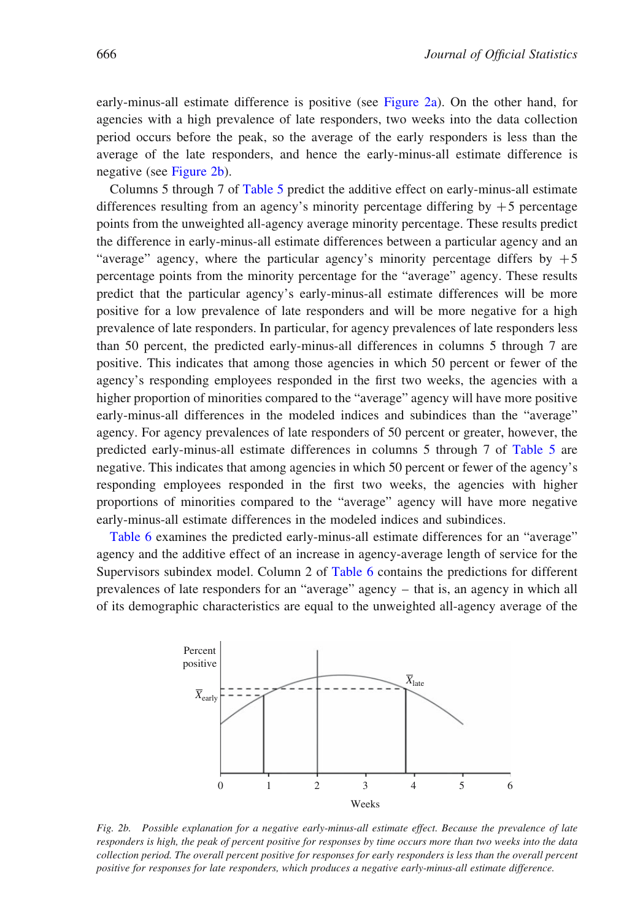early-minus-all estimate difference is positive (see Figure 2a). On the other hand, for agencies with a high prevalence of late responders, two weeks into the data collection period occurs before the peak, so the average of the early responders is less than the average of the late responders, and hence the early-minus-all estimate difference is negative (see Figure 2b).

Columns 5 through 7 of Table 5 predict the additive effect on early-minus-all estimate differences resulting from an agency's minority percentage differing by  $+5$  percentage points from the unweighted all-agency average minority percentage. These results predict the difference in early-minus-all estimate differences between a particular agency and an "average" agency, where the particular agency's minority percentage differs by  $+5$ percentage points from the minority percentage for the "average" agency. These results predict that the particular agency's early-minus-all estimate differences will be more positive for a low prevalence of late responders and will be more negative for a high prevalence of late responders. In particular, for agency prevalences of late responders less than 50 percent, the predicted early-minus-all differences in columns 5 through 7 are positive. This indicates that among those agencies in which 50 percent or fewer of the agency's responding employees responded in the first two weeks, the agencies with a higher proportion of minorities compared to the "average" agency will have more positive early-minus-all differences in the modeled indices and subindices than the "average" agency. For agency prevalences of late responders of 50 percent or greater, however, the predicted early-minus-all estimate differences in columns 5 through 7 of Table 5 are negative. This indicates that among agencies in which 50 percent or fewer of the agency's responding employees responded in the first two weeks, the agencies with higher proportions of minorities compared to the "average" agency will have more negative early-minus-all estimate differences in the modeled indices and subindices.

Table 6 examines the predicted early-minus-all estimate differences for an "average" agency and the additive effect of an increase in agency-average length of service for the Supervisors subindex model. Column 2 of Table 6 contains the predictions for different prevalences of late responders for an "average" agency – that is, an agency in which all of its demographic characteristics are equal to the unweighted all-agency average of the



Fig. 2b. Possible explanation for a negative early-minus-all estimate effect. Because the prevalence of late responders is high, the peak of percent positive for responses by time occurs more than two weeks into the data collection period. The overall percent positive for responses for early responders is less than the overall percent positive for responses for late responders, which produces a negative early-minus-all estimate difference.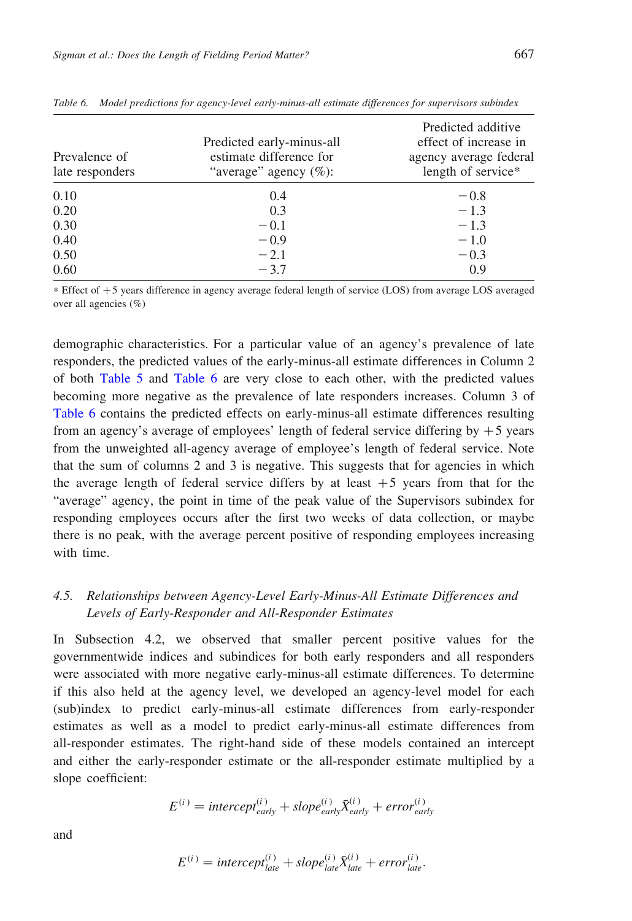| Prevalence of<br>late responders | Predicted early-minus-all<br>estimate difference for<br>"average" agency $(\%)$ : | Predicted additive<br>effect of increase in<br>agency average federal<br>length of service* |
|----------------------------------|-----------------------------------------------------------------------------------|---------------------------------------------------------------------------------------------|
| 0.10                             | 0.4                                                                               | $-0.8$                                                                                      |
| 0.20                             | 0.3                                                                               | $-1.3$                                                                                      |
| 0.30                             | $-0.1$                                                                            | $-1.3$                                                                                      |
| 0.40                             | $-0.9$                                                                            | $-1.0$                                                                                      |
| 0.50                             | $-2.1$                                                                            | $-0.3$                                                                                      |
| 0.60                             | $-3.7$                                                                            | 0.9                                                                                         |

Table 6. Model predictions for agency-level early-minus-all estimate differences for supervisors subindex

\* Effect of þ5 years difference in agency average federal length of service (LOS) from average LOS averaged over all agencies (%)

demographic characteristics. For a particular value of an agency's prevalence of late responders, the predicted values of the early-minus-all estimate differences in Column 2 of both Table 5 and Table 6 are very close to each other, with the predicted values becoming more negative as the prevalence of late responders increases. Column 3 of Table 6 contains the predicted effects on early-minus-all estimate differences resulting from an agency's average of employees' length of federal service differing by  $+5$  years from the unweighted all-agency average of employee's length of federal service. Note that the sum of columns 2 and 3 is negative. This suggests that for agencies in which the average length of federal service differs by at least  $+5$  years from that for the "average" agency, the point in time of the peak value of the Supervisors subindex for responding employees occurs after the first two weeks of data collection, or maybe there is no peak, with the average percent positive of responding employees increasing with time.

## 4.5. Relationships between Agency-Level Early-Minus-All Estimate Differences and Levels of Early-Responder and All-Responder Estimates

In Subsection 4.2, we observed that smaller percent positive values for the governmentwide indices and subindices for both early responders and all responders were associated with more negative early-minus-all estimate differences. To determine if this also held at the agency level, we developed an agency-level model for each (sub)index to predict early-minus-all estimate differences from early-responder estimates as well as a model to predict early-minus-all estimate differences from all-responder estimates. The right-hand side of these models contained an intercept and either the early-responder estimate or the all-responder estimate multiplied by a slope coefficient:

$$
E^{(i)} = intercept_{early}^{(i)} + slope_{early}^{(i)} \bar{X}_{early}^{(i)} + error_{early}^{(i)}
$$

and

$$
E^{(i)} = intercept_{late}^{(i)} + slope_{late}^{(i)} \bar{X}_{late}^{(i)} + error_{late}^{(i)}.
$$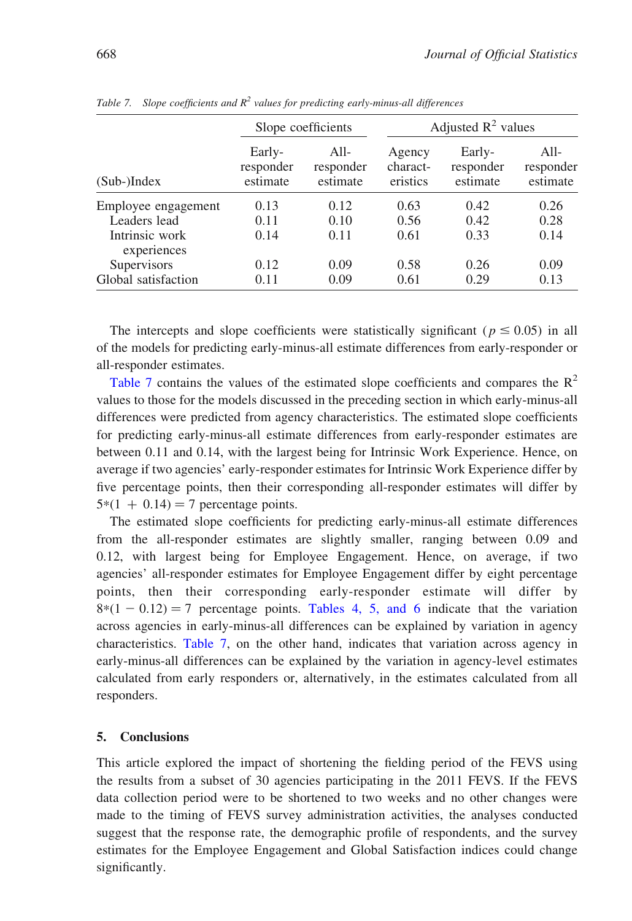|                               |                                 | Slope coefficients              |                                | Adjusted $R^2$ values           |                                 |
|-------------------------------|---------------------------------|---------------------------------|--------------------------------|---------------------------------|---------------------------------|
| $(Sub-)Index$                 | Early-<br>responder<br>estimate | $All-$<br>responder<br>estimate | Agency<br>charact-<br>eristics | Early-<br>responder<br>estimate | $All-$<br>responder<br>estimate |
| Employee engagement           | 0.13                            | 0.12                            | 0.63                           | 0.42                            | 0.26                            |
| Leaders lead                  | 0.11                            | 0.10                            | 0.56                           | 0.42                            | 0.28                            |
| Intrinsic work<br>experiences | 0.14                            | 0.11                            | 0.61                           | 0.33                            | 0.14                            |
| Supervisors                   | 0.12                            | 0.09                            | 0.58                           | 0.26                            | 0.09                            |
| Global satisfaction           | 0.11                            | 0.09                            | 0.61                           | 0.29                            | 0.13                            |

Table 7. Slope coefficients and  $R^2$  values for predicting early-minus-all differences

The intercepts and slope coefficients were statistically significant ( $p \le 0.05$ ) in all of the models for predicting early-minus-all estimate differences from early-responder or all-responder estimates.

Table 7 contains the values of the estimated slope coefficients and compares the  $R^2$ values to those for the models discussed in the preceding section in which early-minus-all differences were predicted from agency characteristics. The estimated slope coefficients for predicting early-minus-all estimate differences from early-responder estimates are between 0.11 and 0.14, with the largest being for Intrinsic Work Experience. Hence, on average if two agencies' early-responder estimates for Intrinsic Work Experience differ by five percentage points, then their corresponding all-responder estimates will differ by  $5*(1 + 0.14) = 7$  percentage points.

The estimated slope coefficients for predicting early-minus-all estimate differences from the all-responder estimates are slightly smaller, ranging between 0.09 and 0.12, with largest being for Employee Engagement. Hence, on average, if two agencies' all-responder estimates for Employee Engagement differ by eight percentage points, then their corresponding early-responder estimate will differ by  $8*(1 - 0.12) = 7$  percentage points. Tables 4, 5, and 6 indicate that the variation across agencies in early-minus-all differences can be explained by variation in agency characteristics. Table 7, on the other hand, indicates that variation across agency in early-minus-all differences can be explained by the variation in agency-level estimates calculated from early responders or, alternatively, in the estimates calculated from all responders.

## 5. Conclusions

This article explored the impact of shortening the fielding period of the FEVS using the results from a subset of 30 agencies participating in the 2011 FEVS. If the FEVS data collection period were to be shortened to two weeks and no other changes were made to the timing of FEVS survey administration activities, the analyses conducted suggest that the response rate, the demographic profile of respondents, and the survey estimates for the Employee Engagement and Global Satisfaction indices could change significantly.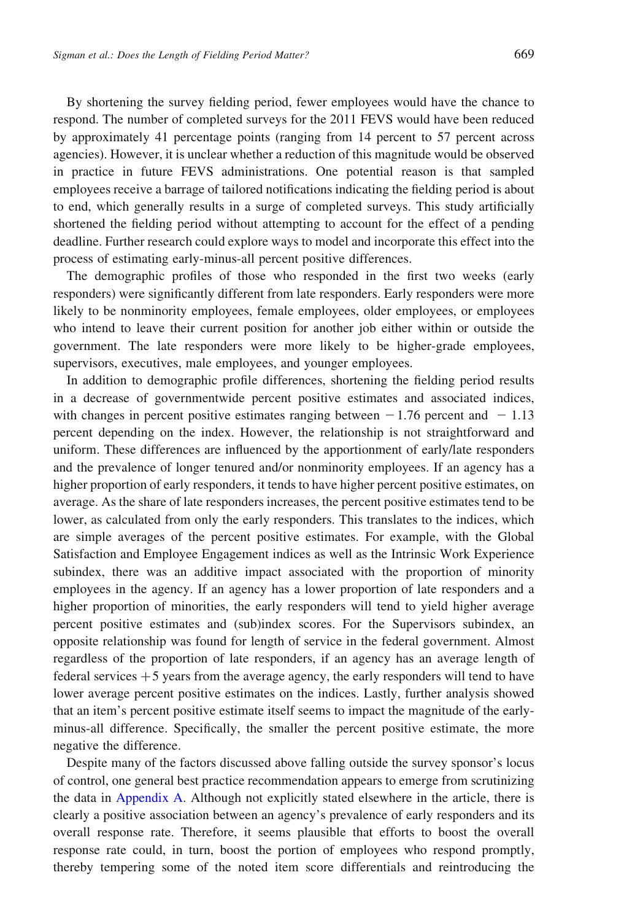By shortening the survey fielding period, fewer employees would have the chance to respond. The number of completed surveys for the 2011 FEVS would have been reduced by approximately 41 percentage points (ranging from 14 percent to 57 percent across agencies). However, it is unclear whether a reduction of this magnitude would be observed in practice in future FEVS administrations. One potential reason is that sampled employees receive a barrage of tailored notifications indicating the fielding period is about to end, which generally results in a surge of completed surveys. This study artificially shortened the fielding period without attempting to account for the effect of a pending deadline. Further research could explore ways to model and incorporate this effect into the process of estimating early-minus-all percent positive differences.

The demographic profiles of those who responded in the first two weeks (early responders) were significantly different from late responders. Early responders were more likely to be nonminority employees, female employees, older employees, or employees who intend to leave their current position for another job either within or outside the government. The late responders were more likely to be higher-grade employees, supervisors, executives, male employees, and younger employees.

In addition to demographic profile differences, shortening the fielding period results in a decrease of governmentwide percent positive estimates and associated indices, with changes in percent positive estimates ranging between  $-1.76$  percent and  $-1.13$ percent depending on the index. However, the relationship is not straightforward and uniform. These differences are influenced by the apportionment of early/late responders and the prevalence of longer tenured and/or nonminority employees. If an agency has a higher proportion of early responders, it tends to have higher percent positive estimates, on average. As the share of late responders increases, the percent positive estimates tend to be lower, as calculated from only the early responders. This translates to the indices, which are simple averages of the percent positive estimates. For example, with the Global Satisfaction and Employee Engagement indices as well as the Intrinsic Work Experience subindex, there was an additive impact associated with the proportion of minority employees in the agency. If an agency has a lower proportion of late responders and a higher proportion of minorities, the early responders will tend to yield higher average percent positive estimates and (sub)index scores. For the Supervisors subindex, an opposite relationship was found for length of service in the federal government. Almost regardless of the proportion of late responders, if an agency has an average length of federal services  $+5$  years from the average agency, the early responders will tend to have lower average percent positive estimates on the indices. Lastly, further analysis showed that an item's percent positive estimate itself seems to impact the magnitude of the earlyminus-all difference. Specifically, the smaller the percent positive estimate, the more negative the difference.

Despite many of the factors discussed above falling outside the survey sponsor's locus of control, one general best practice recommendation appears to emerge from scrutinizing the data in Appendix A. Although not explicitly stated elsewhere in the article, there is clearly a positive association between an agency's prevalence of early responders and its overall response rate. Therefore, it seems plausible that efforts to boost the overall response rate could, in turn, boost the portion of employees who respond promptly, thereby tempering some of the noted item score differentials and reintroducing the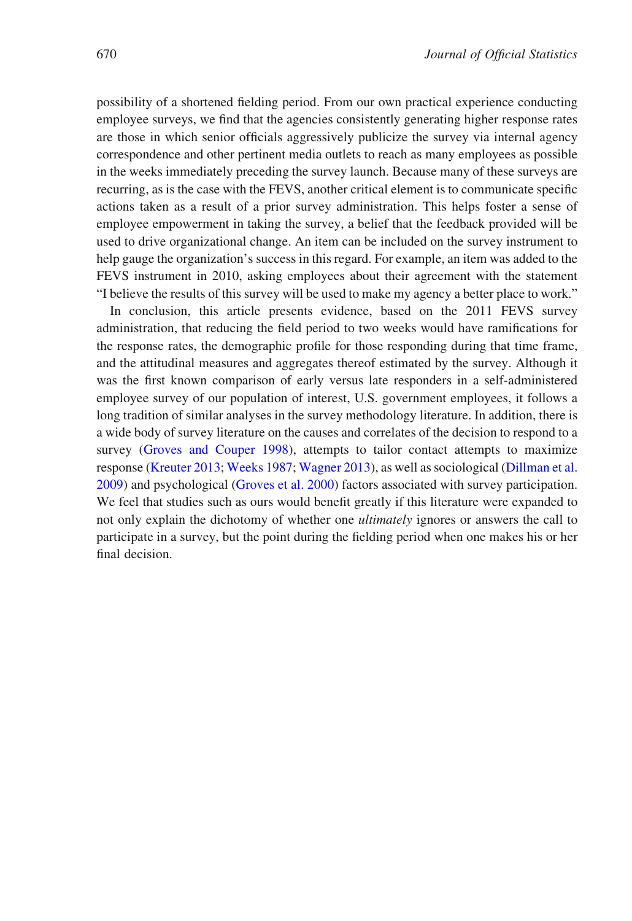possibility of a shortened fielding period. From our own practical experience conducting employee surveys, we find that the agencies consistently generating higher response rates are those in which senior officials aggressively publicize the survey via internal agency correspondence and other pertinent media outlets to reach as many employees as possible in the weeks immediately preceding the survey launch. Because many of these surveys are recurring, as is the case with the FEVS, another critical element is to communicate specific actions taken as a result of a prior survey administration. This helps foster a sense of employee empowerment in taking the survey, a belief that the feedback provided will be used to drive organizational change. An item can be included on the survey instrument to help gauge the organization's success in this regard. For example, an item was added to the FEVS instrument in 2010, asking employees about their agreement with the statement "I believe the results of this survey will be used to make my agency a better place to work."

In conclusion, this article presents evidence, based on the 2011 FEVS survey administration, that reducing the field period to two weeks would have ramifications for the response rates, the demographic profile for those responding during that time frame, and the attitudinal measures and aggregates thereof estimated by the survey. Although it was the first known comparison of early versus late responders in a self-administered employee survey of our population of interest, U.S. government employees, it follows a long tradition of similar analyses in the survey methodology literature. In addition, there is a wide body of survey literature on the causes and correlates of the decision to respond to a survey (Groves and Couper 1998), attempts to tailor contact attempts to maximize response (Kreuter 2013; Weeks 1987; Wagner 2013), as well as sociological (Dillman et al. 2009) and psychological (Groves et al. 2000) factors associated with survey participation. We feel that studies such as ours would benefit greatly if this literature were expanded to not only explain the dichotomy of whether one ultimately ignores or answers the call to participate in a survey, but the point during the fielding period when one makes his or her final decision.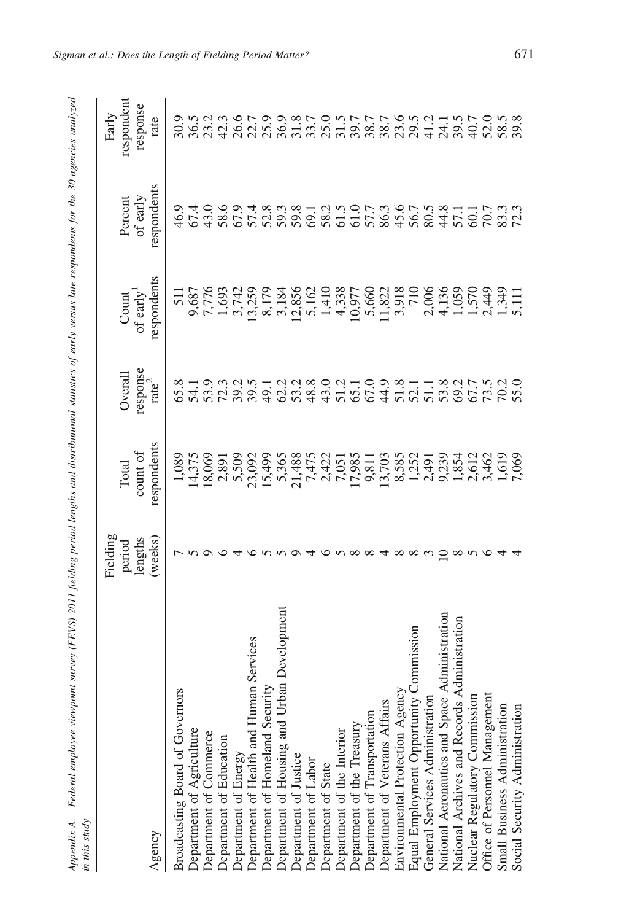| Agency                                                                     | Fielding<br>lengths<br>(weeks)<br>period | respondents<br>Total<br>count of | response<br>rate <sup>2</sup><br>Overall                                                                                                                                                                                                                                                                                                                                                                                            | respondents<br>Count<br>of early <sup>1</sup> | respondents<br>of early<br>Percent                                                                           | respondent<br>response<br>Early<br>rate          |
|----------------------------------------------------------------------------|------------------------------------------|----------------------------------|-------------------------------------------------------------------------------------------------------------------------------------------------------------------------------------------------------------------------------------------------------------------------------------------------------------------------------------------------------------------------------------------------------------------------------------|-----------------------------------------------|--------------------------------------------------------------------------------------------------------------|--------------------------------------------------|
| Broadcasting Board of Governors                                            |                                          |                                  |                                                                                                                                                                                                                                                                                                                                                                                                                                     |                                               |                                                                                                              |                                                  |
| Department of Agriculture                                                  |                                          |                                  |                                                                                                                                                                                                                                                                                                                                                                                                                                     |                                               |                                                                                                              |                                                  |
| Department of Commerce                                                     |                                          | 1,089<br>14,375<br>18,069        | $\begin{array}{l} \mathcal{S} \; \mathcal{X} \; \mathcal{Y} \; \mathcal{Y} \; \mathcal{Y} \; \mathcal{Y} \; \mathcal{Y} \; \mathcal{Y} \; \mathcal{Y} \; \mathcal{Y} \; \mathcal{Y} \; \mathcal{Y} \; \mathcal{Y} \; \mathcal{Y} \; \mathcal{Y} \; \mathcal{Y} \; \mathcal{Y} \; \mathcal{Y} \; \mathcal{Y} \; \mathcal{Y} \; \mathcal{Y} \; \mathcal{Y} \; \mathcal{Y} \; \mathcal{Y} \; \mathcal{Y} \; \mathcal{Y} \; \mathcal{Y$ | 511<br>0,687<br>0,776<br>0,742<br>5.742       | A 6 4 8 6 7 5 9 8 9 8 9 8 9 9 7 8 4 9 9 4 7 6 9 8 7 7<br>9 6 4 8 6 7 9 9 9 9 9 8 9 9 9 7 9 7 9 9 9 9 7 9 9 7 | のようにゅうりゅうにつういういうとうしょういう。<br>こうこうかいしょういういういうこういう。 |
| Department of Education                                                    |                                          |                                  |                                                                                                                                                                                                                                                                                                                                                                                                                                     |                                               |                                                                                                              |                                                  |
| Department of Energy                                                       |                                          |                                  |                                                                                                                                                                                                                                                                                                                                                                                                                                     |                                               |                                                                                                              |                                                  |
| Department of Health and Human Services                                    |                                          |                                  |                                                                                                                                                                                                                                                                                                                                                                                                                                     |                                               |                                                                                                              |                                                  |
| Department of Homeland Security                                            |                                          |                                  |                                                                                                                                                                                                                                                                                                                                                                                                                                     |                                               |                                                                                                              |                                                  |
| ban Development<br>Department of Housing and Url                           |                                          |                                  |                                                                                                                                                                                                                                                                                                                                                                                                                                     |                                               |                                                                                                              |                                                  |
| Department of Justice                                                      |                                          |                                  |                                                                                                                                                                                                                                                                                                                                                                                                                                     |                                               |                                                                                                              |                                                  |
| Department of Labor                                                        |                                          |                                  |                                                                                                                                                                                                                                                                                                                                                                                                                                     |                                               |                                                                                                              |                                                  |
| Department of State                                                        |                                          |                                  |                                                                                                                                                                                                                                                                                                                                                                                                                                     |                                               |                                                                                                              |                                                  |
| Department of the Interior                                                 |                                          |                                  |                                                                                                                                                                                                                                                                                                                                                                                                                                     |                                               |                                                                                                              |                                                  |
| Department of the Treasury                                                 |                                          |                                  |                                                                                                                                                                                                                                                                                                                                                                                                                                     |                                               |                                                                                                              |                                                  |
| Department of Transportation                                               |                                          |                                  |                                                                                                                                                                                                                                                                                                                                                                                                                                     |                                               |                                                                                                              |                                                  |
| Department of Veterans Affairs                                             |                                          |                                  |                                                                                                                                                                                                                                                                                                                                                                                                                                     |                                               |                                                                                                              |                                                  |
|                                                                            |                                          |                                  |                                                                                                                                                                                                                                                                                                                                                                                                                                     |                                               |                                                                                                              |                                                  |
| Environmental Protection Agency<br>Equal Employment Opportunity Commission |                                          |                                  |                                                                                                                                                                                                                                                                                                                                                                                                                                     |                                               |                                                                                                              |                                                  |
| General Services Administration                                            |                                          |                                  |                                                                                                                                                                                                                                                                                                                                                                                                                                     |                                               |                                                                                                              |                                                  |
| Administration<br>National Aeronautics and Space                           |                                          |                                  |                                                                                                                                                                                                                                                                                                                                                                                                                                     |                                               |                                                                                                              |                                                  |
| Administration<br>National Archives and Records                            |                                          |                                  |                                                                                                                                                                                                                                                                                                                                                                                                                                     |                                               |                                                                                                              |                                                  |
|                                                                            |                                          |                                  |                                                                                                                                                                                                                                                                                                                                                                                                                                     |                                               |                                                                                                              |                                                  |
| Nuclear Regulatory Commission<br>Office of Personnel Management            |                                          |                                  |                                                                                                                                                                                                                                                                                                                                                                                                                                     |                                               |                                                                                                              |                                                  |
| Small Business Administration                                              |                                          |                                  |                                                                                                                                                                                                                                                                                                                                                                                                                                     |                                               |                                                                                                              |                                                  |
| Social Security Administration                                             |                                          |                                  |                                                                                                                                                                                                                                                                                                                                                                                                                                     |                                               |                                                                                                              |                                                  |
|                                                                            |                                          |                                  |                                                                                                                                                                                                                                                                                                                                                                                                                                     |                                               |                                                                                                              |                                                  |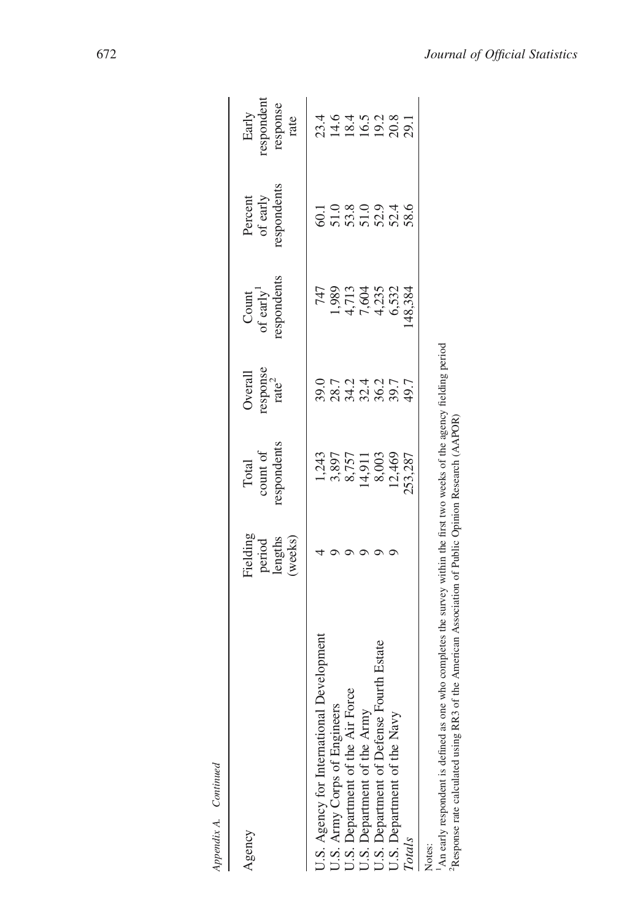| Appendix A. Continued                                                                                                                                          |                                          |                                                                                                                   |                                          |                                                                                                 |                                    |                                         |
|----------------------------------------------------------------------------------------------------------------------------------------------------------------|------------------------------------------|-------------------------------------------------------------------------------------------------------------------|------------------------------------------|-------------------------------------------------------------------------------------------------|------------------------------------|-----------------------------------------|
| Agency                                                                                                                                                         | Fielding<br>period<br>lengths<br>lengths | Total<br>count of<br>respondents                                                                                  | Overall<br>response<br>rate <sup>2</sup> | $\begin{array}{c}\n\text{Count} \\ \text{of } \text{early}^1 \\ \text{espondents}\n\end{array}$ | Percent<br>of early<br>respondents | Early<br>respondent<br>response<br>rate |
| U.S. Agency for International Development                                                                                                                      |                                          |                                                                                                                   |                                          |                                                                                                 |                                    |                                         |
| U.S. Army Corps of Engineers                                                                                                                                   |                                          |                                                                                                                   | 0.0.40.0.0.9<br>0.842.90.9<br>0.942.90.9 |                                                                                                 | ersente<br>1980<br>1985            |                                         |
| U.S. Department of the Air Force                                                                                                                               |                                          |                                                                                                                   |                                          |                                                                                                 |                                    |                                         |
| U.S. Department of the Army                                                                                                                                    |                                          |                                                                                                                   |                                          |                                                                                                 |                                    |                                         |
| U.S. Department of Defense Fourth Estate                                                                                                                       |                                          |                                                                                                                   |                                          |                                                                                                 |                                    |                                         |
| U.S. Department of the Navy                                                                                                                                    |                                          |                                                                                                                   |                                          |                                                                                                 |                                    |                                         |
| Totals                                                                                                                                                         |                                          | $\begin{array}{c} 1,243 \\ 3,897 \\ 8,757 \\ 8,911 \\ 14,911 \\ 8,003 \\ 12,469 \\ 12,287 \\ 253,287 \end{array}$ |                                          |                                                                                                 |                                    | 214645281<br>41465282                   |
| la a serie de la componenta de la designación de la contradición de la componenta de la contradició<br>l A a saile an an ainm in dafan da an an an a<br>Notes: |                                          |                                                                                                                   |                                          |                                                                                                 |                                    |                                         |

<sup>1</sup>An early respondent is defined as one who completes the survey within the first two weeks of the agency fielding period<br><sup>2</sup>Response rate calculated using RR3 of the American Association of Public Opinion Research (AAPOR 1An early respondent is defined as one who completes the survey within the first two weeks of the agency fielding period 2Response rate calculated using RR3 of the American Association of Public Opinion Research (AAPOR)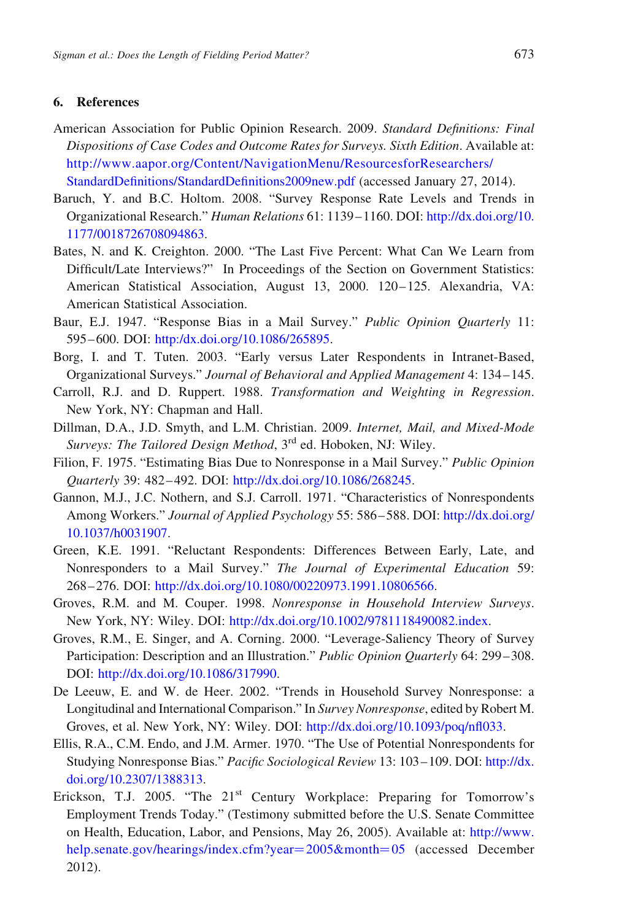## 6. References

- American Association for Public Opinion Research. 2009. Standard Definitions: Final Dispositions of Case Codes and Outcome Rates for Surveys. Sixth Edition. Available at: [http://www.aapor.org/Content/NavigationMenu/ResourcesforResearchers/](http://www.aapor.org/Content/NavigationMenu/ResourcesforResearchers/StandardDefinitions/StandardDefinitions2009new.pdf) [StandardDefinitions/StandardDefinitions2009new.pdf](http://www.aapor.org/Content/NavigationMenu/ResourcesforResearchers/StandardDefinitions/StandardDefinitions2009new.pdf) (accessed January 27, 2014).
- Baruch, Y. and B.C. Holtom. 2008. "Survey Response Rate Levels and Trends in Organizational Research." Human Relations 61: 1139–1160. DOI: [http://dx.doi.org/10.](http://dx.doi.org/10.1177/0018726708094863) [1177/0018726708094863](http://dx.doi.org/10.1177/0018726708094863).
- Bates, N. and K. Creighton. 2000. "The Last Five Percent: What Can We Learn from Difficult/Late Interviews?" In Proceedings of the Section on Government Statistics: American Statistical Association, August 13, 2000. 120–125. Alexandria, VA: American Statistical Association.
- Baur, E.J. 1947. "Response Bias in a Mail Survey." Public Opinion Quarterly 11: 595–600. DOI: [http:/dx.doi.org/10.1086/265895.](http:/dx.doi.org/10.1086/265895)
- Borg, I. and T. Tuten. 2003. "Early versus Later Respondents in Intranet-Based, Organizational Surveys." Journal of Behavioral and Applied Management 4: 134–145.
- Carroll, R.J. and D. Ruppert. 1988. Transformation and Weighting in Regression. New York, NY: Chapman and Hall.
- Dillman, D.A., J.D. Smyth, and L.M. Christian. 2009. Internet, Mail, and Mixed-Mode Surveys: The Tailored Design Method, 3<sup>rd</sup> ed. Hoboken, NJ: Wiley.
- Filion, F. 1975. "Estimating Bias Due to Nonresponse in a Mail Survey." Public Opinion Quarterly 39: 482–492. DOI: [http://dx.doi.org/10.1086/268245.](http://dx.doi.org/10.1086/268245)
- Gannon, M.J., J.C. Nothern, and S.J. Carroll. 1971. "Characteristics of Nonrespondents Among Workers." Journal of Applied Psychology 55: 586–588. DOI: [http://dx.doi.org/](http://dx.doi.org/10.1037/h0031907) [10.1037/h0031907.](http://dx.doi.org/10.1037/h0031907)
- Green, K.E. 1991. "Reluctant Respondents: Differences Between Early, Late, and Nonresponders to a Mail Survey." The Journal of Experimental Education 59: 268–276. DOI: <http://dx.doi.org/10.1080/00220973.1991.10806566>.
- Groves, R.M. and M. Couper. 1998. Nonresponse in Household Interview Surveys. New York, NY: Wiley. DOI: [http://dx.doi.org/10.1002/9781118490082.index.](http://dx.doi.org/10.1002/9781118490082.index)
- Groves, R.M., E. Singer, and A. Corning. 2000. "Leverage-Saliency Theory of Survey Participation: Description and an Illustration." Public Opinion Quarterly 64: 299–308. DOI: <http://dx.doi.org/10.1086/317990>.
- De Leeuw, E. and W. de Heer. 2002. "Trends in Household Survey Nonresponse: a Longitudinal and International Comparison." In Survey Nonresponse, edited by Robert M. Groves, et al. New York, NY: Wiley. DOI: [http://dx.doi.org/10.1093/poq/nfl033.](http://dx.doi.org/10.1093/poq/nfl033)
- Ellis, R.A., C.M. Endo, and J.M. Armer. 1970. "The Use of Potential Nonrespondents for Studying Nonresponse Bias." Pacific Sociological Review 13: 103–109. DOI: [http://dx.](http://dx.doi.org/10.2307/1388313) [doi.org/10.2307/1388313](http://dx.doi.org/10.2307/1388313).
- Erickson, T.J. 2005. "The  $21<sup>st</sup>$  Century Workplace: Preparing for Tomorrow's Employment Trends Today." (Testimony submitted before the U.S. Senate Committee on Health, Education, Labor, and Pensions, May 26, 2005). Available at: [http://www.](http://www.help.senate.gov/hearings/index.cfm?year=2005&month=05) [help.senate.gov/hearings/index.cfm?year](http://www.help.senate.gov/hearings/index.cfm?year=2005&month=05)=2005&month=05 (accessed December 2012).